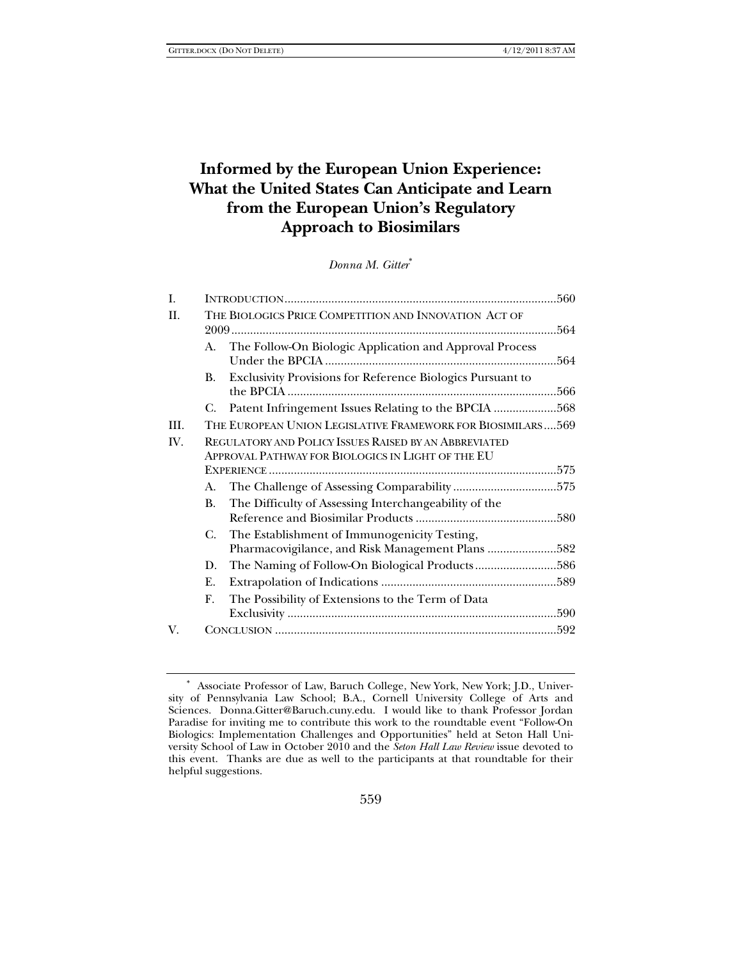# **Informed by the European Union Experience: What the United States Can Anticipate and Learn from the European Union's Regulatory Approach to Biosimilars**

*Donna M. Gitter*<sup>∗</sup>

| I.   |                                                       | .560                                                                                                       |      |
|------|-------------------------------------------------------|------------------------------------------------------------------------------------------------------------|------|
| Π.   | THE BIOLOGICS PRICE COMPETITION AND INNOVATION ACT OF |                                                                                                            | .564 |
|      | A.                                                    | The Follow-On Biologic Application and Approval Process                                                    | .564 |
|      | В.                                                    | Exclusivity Provisions for Reference Biologics Pursuant to                                                 | .566 |
|      | C.                                                    | Patent Infringement Issues Relating to the BPCIA 568                                                       |      |
| III. |                                                       | THE EUROPEAN UNION LEGISLATIVE FRAMEWORK FOR BIOSIMILARS569                                                |      |
| IV.  |                                                       | REGULATORY AND POLICY ISSUES RAISED BY AN ABBREVIATED<br>APPROVAL PATHWAY FOR BIOLOGICS IN LIGHT OF THE EU |      |
|      |                                                       |                                                                                                            |      |
|      | A.                                                    |                                                                                                            |      |
|      | B.                                                    | The Difficulty of Assessing Interchangeability of the                                                      |      |
|      | C.                                                    | The Establishment of Immunogenicity Testing,                                                               |      |
|      |                                                       | Pharmacovigilance, and Risk Management Plans 582                                                           |      |
|      | D.                                                    | The Naming of Follow-On Biological Products586                                                             |      |
|      | Ε.                                                    |                                                                                                            |      |
|      | F.                                                    | The Possibility of Extensions to the Term of Data                                                          |      |
| V.   |                                                       |                                                                                                            |      |
|      |                                                       |                                                                                                            |      |

<sup>∗</sup> Associate Professor of Law, Baruch College, New York, New York; J.D., University of Pennsylvania Law School; B.A., Cornell University College of Arts and Sciences. Donna.Gitter@Baruch.cuny.edu. I would like to thank Professor Jordan Paradise for inviting me to contribute this work to the roundtable event "Follow-On Biologics: Implementation Challenges and Opportunities" held at Seton Hall University School of Law in October 2010 and the *Seton Hall Law Review* issue devoted to this event. Thanks are due as well to the participants at that roundtable for their helpful suggestions.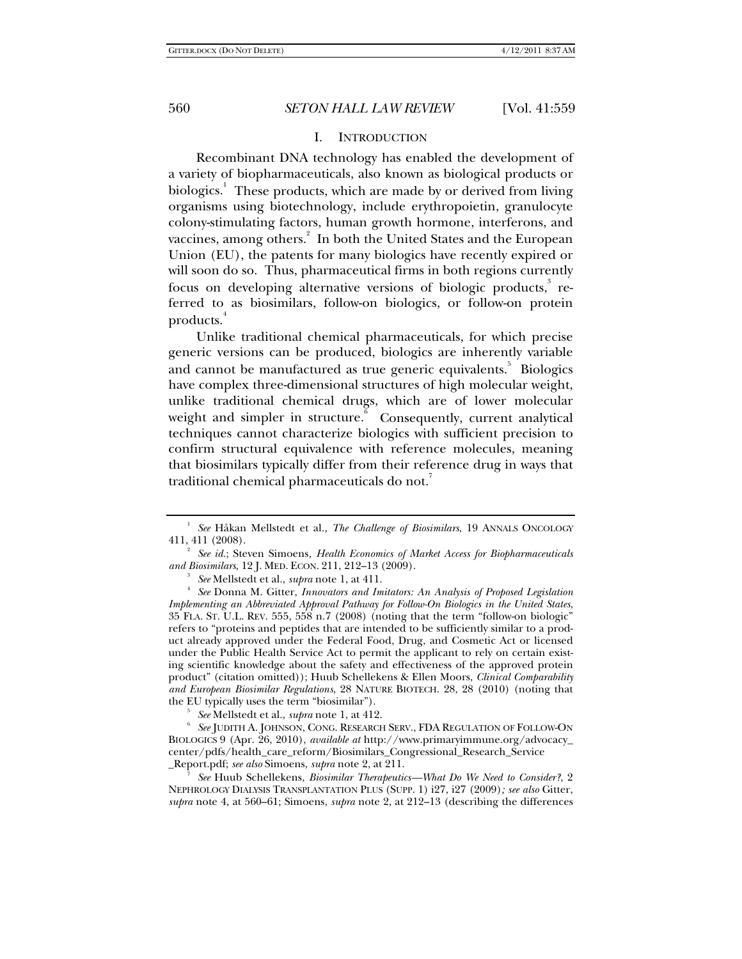#### I. INTRODUCTION

Recombinant DNA technology has enabled the development of a variety of biopharmaceuticals, also known as biological products or biologics.<sup>1</sup> These products, which are made by or derived from living organisms using biotechnology, include erythropoietin, granulocyte colony-stimulating factors, human growth hormone, interferons, and vaccines, among others. $^2$  In both the United States and the European Union (EU), the patents for many biologics have recently expired or will soon do so. Thus, pharmaceutical firms in both regions currently focus on developing alternative versions of biologic products,<sup>3</sup> referred to as biosimilars, follow-on biologics, or follow-on protein products.<sup>4</sup>

Unlike traditional chemical pharmaceuticals, for which precise generic versions can be produced, biologics are inherently variable and cannot be manufactured as true generic equivalents.<sup>5</sup> Biologics have complex three-dimensional structures of high molecular weight, unlike traditional chemical drugs, which are of lower molecular weight and simpler in structure.<sup>6</sup> Consequently, current analytical techniques cannot characterize biologics with sufficient precision to confirm structural equivalence with reference molecules, meaning that biosimilars typically differ from their reference drug in ways that traditional chemical pharmaceuticals do not.

*See* Mellstedt et al., *supra* note 1, at 411.

*See* Mellstedt et al., *supra* note 1, at 412.

 *See* JUDITH A. JOHNSON, CONG. RESEARCH SERV., FDA REGULATION OF FOLLOW-ON BIOLOGICS 9 (Apr. 26, 2010), *available at* http://www.primaryimmune.org/advocacy\_ center/pdfs/health\_care\_reform/Biosimilars\_Congressional\_Research\_Service \_Report.pdf; *see also* Simoens, *supra* note 2, at 211. 7

 *See* Huub Schellekens, *Biosimilar Therapeutics—What Do We Need to Consider?*, 2 NEPHROLOGY DIALYSIS TRANSPLANTATION PLUS (SUPP. 1) i27, i27 (2009)*; see also* Gitter, *supra* note 4, at 560–61; Simoens, *supra* note 2, at 212–13 (describing the differences

<sup>1</sup>  *See* Håkan Mellstedt et al., *The Challenge of Biosimilars*, 19 ANNALS ONCOLOGY 411, 411 (2008). 2

*See id.*; Steven Simoens*, Health Economics of Market Access for Biopharmaceuticals and Biosimilars*, 12 J. MED. ECON. 211, 212–13 (2009). 3

*See* Donna M. Gitter, *Innovators and Imitators: An Analysis of Proposed Legislation Implementing an Abbreviated Approval Pathway for Follow-On Biologics in the United States*, 35 FLA. ST. U.L. REV. 555, 558 n.7 (2008) (noting that the term "follow-on biologic" refers to "proteins and peptides that are intended to be sufficiently similar to a product already approved under the Federal Food, Drug, and Cosmetic Act or licensed under the Public Health Service Act to permit the applicant to rely on certain existing scientific knowledge about the safety and effectiveness of the approved protein product" (citation omitted)); Huub Schellekens & Ellen Moors, *Clinical Comparability and European Biosimilar Regulations*, 28 NATURE BIOTECH. 28, 28 (2010) (noting that the EU typically uses the term "biosimilar").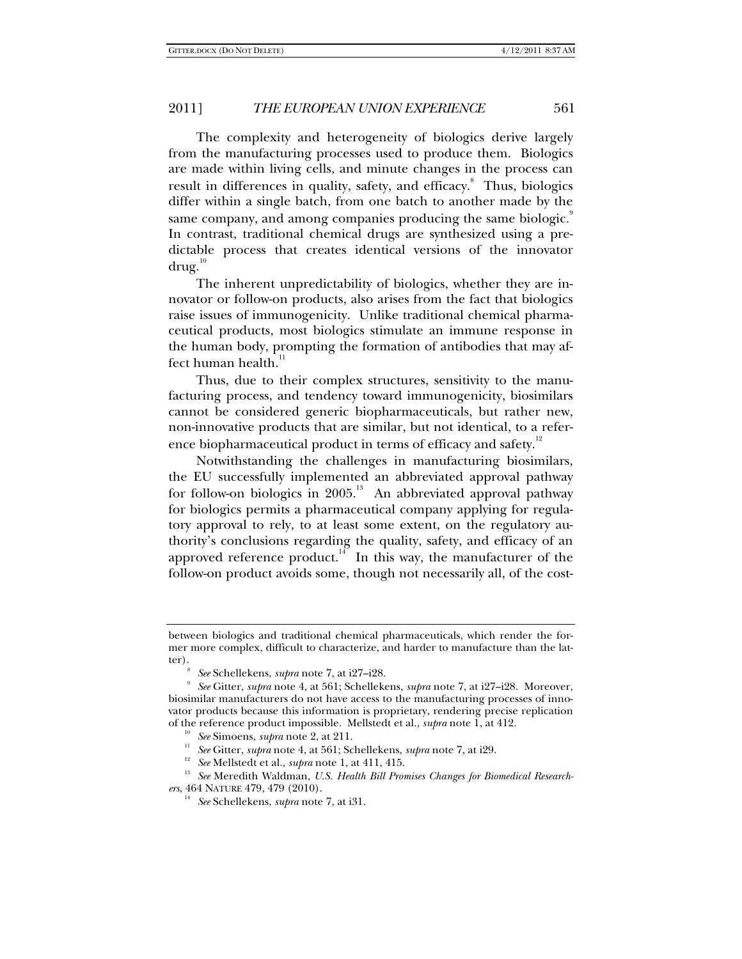The complexity and heterogeneity of biologics derive largely from the manufacturing processes used to produce them. Biologics are made within living cells, and minute changes in the process can result in differences in quality, safety, and efficacy. Thus, biologics differ within a single batch, from one batch to another made by the same company, and among companies producing the same biologic. In contrast, traditional chemical drugs are synthesized using a predictable process that creates identical versions of the innovator  $\frac{d}{d}$ 

The inherent unpredictability of biologics, whether they are innovator or follow-on products, also arises from the fact that biologics raise issues of immunogenicity. Unlike traditional chemical pharmaceutical products, most biologics stimulate an immune response in the human body, prompting the formation of antibodies that may affect human health.<sup>11</sup>

Thus, due to their complex structures, sensitivity to the manufacturing process, and tendency toward immunogenicity, biosimilars cannot be considered generic biopharmaceuticals, but rather new, non-innovative products that are similar, but not identical, to a reference biopharmaceutical product in terms of efficacy and safety.<sup>12</sup>

Notwithstanding the challenges in manufacturing biosimilars, the EU successfully implemented an abbreviated approval pathway for follow-on biologics in 2005.<sup>13</sup> An abbreviated approval pathway for biologics permits a pharmaceutical company applying for regulatory approval to rely, to at least some extent, on the regulatory authority's conclusions regarding the quality, safety, and efficacy of an approved reference product.<sup>14</sup> In this way, the manufacturer of the follow-on product avoids some, though not necessarily all, of the cost-

between biologics and traditional chemical pharmaceuticals, which render the former more complex, difficult to characterize, and harder to manufacture than the latter)

*See* Schellekens, *supra* note 7, at i27–i28. 9

*See* Gitter, *supra* note 4, at 561; Schellekens, *supra* note 7, at i27–i28. Moreover, biosimilar manufacturers do not have access to the manufacturing processes of innovator products because this information is proprietary, rendering precise replication of the reference product impossible. Mellstedt et al., *supra* note 1, at 412.

<sup>&</sup>lt;sup>10</sup> See Simoens, *supra* note 2, at 211.<br><sup>11</sup> See Gitter, *supra* note 4, at 561; Schellekens, *supra* note 7, at i29.<br><sup>12</sup> See Mellstedt et al., *supra* note 1, at 411, 415.<br><sup>13</sup> See Meredith Waldman, *U.S. Health Bill* 

<sup>&</sup>lt;sup>14</sup> See Schellekens, *supra* note 7, at i31.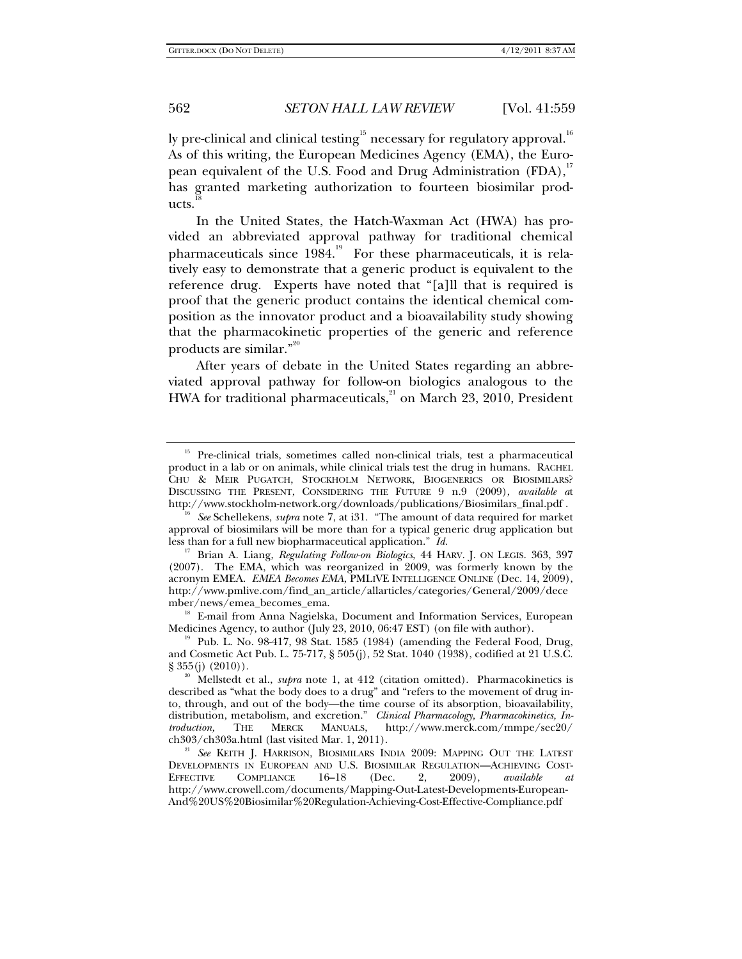ly pre-clinical and clinical testing $^{\rm 15}$  necessary for regulatory approval. $^{\rm 16}$ As of this writing, the European Medicines Agency (EMA), the European equivalent of the U.S. Food and Drug Administration (FDA),<sup>17</sup> has granted marketing authorization to fourteen biosimilar products.

In the United States, the Hatch-Waxman Act (HWA) has provided an abbreviated approval pathway for traditional chemical pharmaceuticals since  $1984$ .<sup>19</sup> For these pharmaceuticals, it is relatively easy to demonstrate that a generic product is equivalent to the reference drug. Experts have noted that "[a]ll that is required is proof that the generic product contains the identical chemical composition as the innovator product and a bioavailability study showing that the pharmacokinetic properties of the generic and reference products are similar."<sup>20</sup>

After years of debate in the United States regarding an abbreviated approval pathway for follow-on biologics analogous to the HWA for traditional pharmaceuticals, $^{21}$  on March 23, 2010, President

Medicines Agency, to author (July 23, 2010, 06:47 EST) (on file with author).<br><sup>19</sup> Pub. L. No. 98-417, 98 Stat. 1585 (1984) (amending the Federal Food, Drug,

<sup>&</sup>lt;sup>15</sup> Pre-clinical trials, sometimes called non-clinical trials, test a pharmaceutical product in a lab or on animals, while clinical trials test the drug in humans. RACHEL CHU & MEIR PUGATCH, STOCKHOLM NETWORK, BIOGENERICS OR BIOSIMILARS? DISCUSSING THE PRESENT, CONSIDERING THE FUTURE 9 n.9 (2009), *available a*t

http://www.stockholm-network.org/downloads/publications/Biosimilars\_final.pdf . 16 *See* Schellekens, *supra* note 7, at i31. "The amount of data required for market approval of biosimilars will be more than for a typical generic drug application but less than for a full new biopharmaceutical application." *Id.*

<sup>17</sup> Brian A. Liang, *Regulating Follow-on Biologics*, 44 HARV. J. ON LEGIS. 363, 397 (2007). The EMA, which was reorganized in 2009, was formerly known by the acronym EMEA. *EMEA Becomes EMA*, PMLIVE INTELLIGENCE ONLINE (Dec. 14, 2009), http://www.pmlive.com/find\_an\_article/allarticles/categories/General/2009/dece mber/news/emea\_becomes\_ema. 18 E-mail from Anna Nagielska, Document and Information Services, European

and Cosmetic Act Pub. L. 75-717, § 505(j), 52 Stat. 1040 (1938), codified at 21 U.S.C.

<sup>&</sup>lt;sup>20</sup> Mellstedt et al., *supra* note 1, at 412 (citation omitted). Pharmacokinetics is described as "what the body does to a drug" and "refers to the movement of drug into, through, and out of the body—the time course of its absorption, bioavailability, distribution, metabolism, and excretion." *Clinical Pharmacology, Pharmacokinetics, Introduction,* THE MERCK MANUALS, http://www.merck.com/mmpe/sec20/

ch303/ch303a.html (last visited Mar. 1, 2011). 21 *See* KEITH J. HARRISON, BIOSIMILARS INDIA 2009: MAPPING OUT THE LATEST DEVELOPMENTS IN EUROPEAN AND U.S. BIOSIMILAR REGULATION—ACHIEVING COST-<br>EFFECTIVE COMPLIANCE 16-18 (Dec. 2, 2009), available at COMPLIANCE 16–18 (Dec. 2, 2009), *available at* http://www.crowell.com/documents/Mapping-Out-Latest-Developments-European-And%20US%20Biosimilar%20Regulation-Achieving-Cost-Effective-Compliance.pdf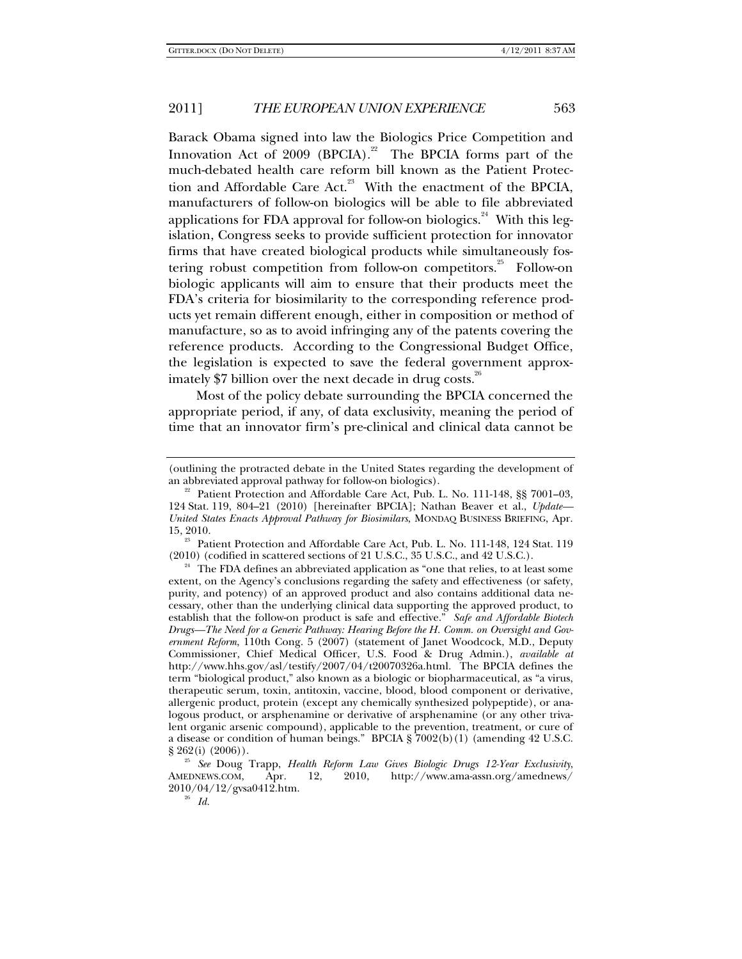Barack Obama signed into law the Biologics Price Competition and Innovation Act of  $2009$  (BPCIA).<sup>22</sup> The BPCIA forms part of the much-debated health care reform bill known as the Patient Protection and Affordable Care Act.<sup>23</sup> With the enactment of the BPCIA, manufacturers of follow-on biologics will be able to file abbreviated applications for FDA approval for follow-on biologics.<sup>24</sup> With this legislation, Congress seeks to provide sufficient protection for innovator firms that have created biological products while simultaneously fostering robust competition from follow-on competitors.<sup>25</sup> Follow-on biologic applicants will aim to ensure that their products meet the FDA's criteria for biosimilarity to the corresponding reference products yet remain different enough, either in composition or method of manufacture, so as to avoid infringing any of the patents covering the reference products. According to the Congressional Budget Office, the legislation is expected to save the federal government approximately \$7 billion over the next decade in drug costs.<sup>26</sup>

Most of the policy debate surrounding the BPCIA concerned the appropriate period, if any, of data exclusivity, meaning the period of time that an innovator firm's pre-clinical and clinical data cannot be

<sup>23</sup> Patient Protection and Affordable Care Act, Pub. L. No. 111-148, 124 Stat. 119 (2010) (codified in scattered sections of 21 U.S.C., 35 U.S.C., and 42 U.S.C.).

<sup>(</sup>outlining the protracted debate in the United States regarding the development of an abbreviated approval pathway for follow-on biologics).<br><sup>22</sup> Patient Protection and Affordable Care Act, Pub. L. No. 111-148, §§ 7001–03,

<sup>124</sup> Stat. 119, 804–21 (2010) [hereinafter BPCIA]; Nathan Beaver et al., *Update— United States Enacts Approval Pathway for Biosimilars*, MONDAQ BUSINESS BRIEFING, Apr.

<sup>&</sup>lt;sup>24</sup> The FDA defines an abbreviated application as "one that relies, to at least some extent, on the Agency's conclusions regarding the safety and effectiveness (or safety, purity, and potency) of an approved product and also contains additional data necessary, other than the underlying clinical data supporting the approved product, to establish that the follow-on product is safe and effective." *Safe and Affordable Biotech Drugs—The Need for a Generic Pathway: Hearing Before the H. Comm. on Oversight and Government Reform*, 110th Cong. 5 (2007) (statement of Janet Woodcock, M.D., Deputy Commissioner, Chief Medical Officer, U.S. Food & Drug Admin.), *available at* http://www.hhs.gov/asl/testify/2007/04/t20070326a.html. The BPCIA defines the term "biological product," also known as a biologic or biopharmaceutical, as "a virus, therapeutic serum, toxin, antitoxin, vaccine, blood, blood component or derivative, allergenic product, protein (except any chemically synthesized polypeptide), or analogous product, or arsphenamine or derivative of arsphenamine (or any other trivalent organic arsenic compound), applicable to the prevention, treatment, or cure of a disease or condition of human beings." BPCIA §  $7002(b)(1)$  (amending 42 U.S.C. § 262(i) (2006)).

<sup>&</sup>lt;sup>25</sup> See Doug Trapp, *Health Reform Law Gives Biologic Drugs 12-Year Exclusivity*, AMEDNEWS.COM, Apr. 12, 2010, http://www.ama-assn.org/amednews/ 2010/04/12/gvsa0412.htm. 26 *Id.*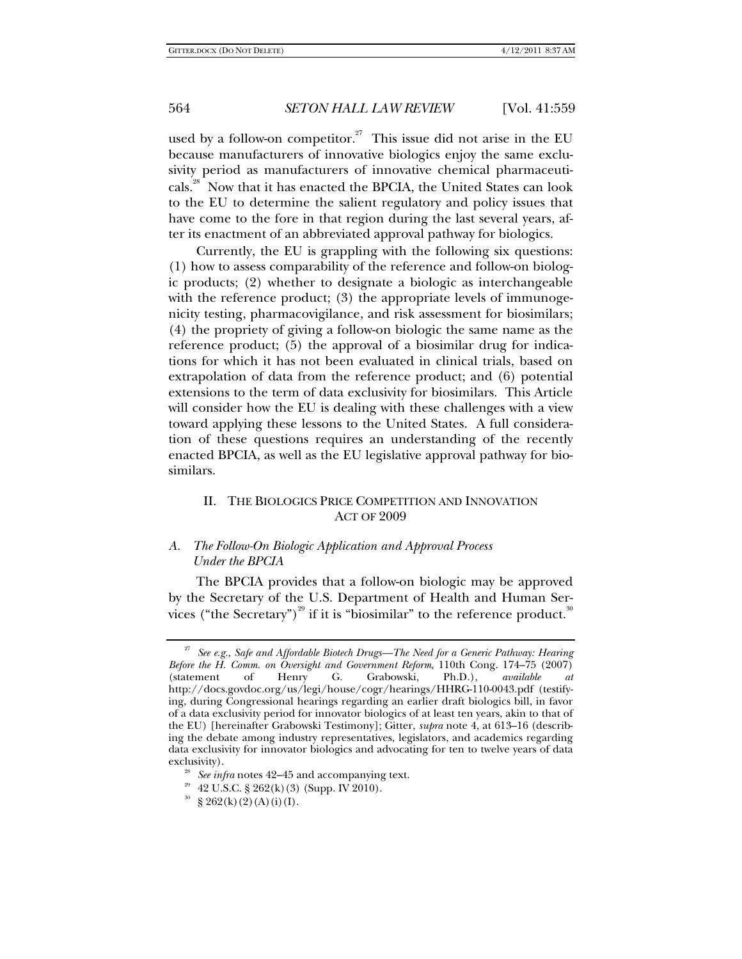used by a follow-on competitor.<sup>27</sup> This issue did not arise in the EU because manufacturers of innovative biologics enjoy the same exclusivity period as manufacturers of innovative chemical pharmaceuticals.<sup>28</sup> Now that it has enacted the BPCIA, the United States can look to the EU to determine the salient regulatory and policy issues that have come to the fore in that region during the last several years, after its enactment of an abbreviated approval pathway for biologics.

Currently, the EU is grappling with the following six questions: (1) how to assess comparability of the reference and follow-on biologic products; (2) whether to designate a biologic as interchangeable with the reference product; (3) the appropriate levels of immunogenicity testing, pharmacovigilance, and risk assessment for biosimilars; (4) the propriety of giving a follow-on biologic the same name as the reference product; (5) the approval of a biosimilar drug for indications for which it has not been evaluated in clinical trials, based on extrapolation of data from the reference product; and (6) potential extensions to the term of data exclusivity for biosimilars. This Article will consider how the EU is dealing with these challenges with a view toward applying these lessons to the United States. A full consideration of these questions requires an understanding of the recently enacted BPCIA, as well as the EU legislative approval pathway for biosimilars.

## II. THE BIOLOGICS PRICE COMPETITION AND INNOVATION ACT OF 2009

## *A. The Follow-On Biologic Application and Approval Process Under the BPCIA*

The BPCIA provides that a follow-on biologic may be approved by the Secretary of the U.S. Department of Health and Human Services ("the Secretary")<sup>29</sup> if it is "biosimilar" to the reference product.<sup>30</sup>

<sup>27</sup> *See e.g.*, *Safe and Affordable Biotech Drugs—The Need for a Generic Pathway: Hearing Before the H. Comm. on Oversight and Government Reform*, 110th Cong. 174–75 (2007) (statement of Henry G. Grabowski, Ph.D.), *available at*  http://docs.govdoc.org/us/legi/house/cogr/hearings/HHRG-110-0043.pdf (testifying, during Congressional hearings regarding an earlier draft biologics bill, in favor of a data exclusivity period for innovator biologics of at least ten years, akin to that of the EU) [hereinafter Grabowski Testimony]; Gitter, *supra* note 4, at 613–16 (describing the debate among industry representatives, legislators, and academics regarding data exclusivity for innovator biologics and advocating for ten to twelve years of data

<sup>&</sup>lt;sup>28</sup> See infra notes 42–45 and accompanying text.  $42$  U.S.C. § 262(k)(3) (Supp. IV 2010).

 $30 \text{ }$  \$ 262(k)(2)(A)(i)(I).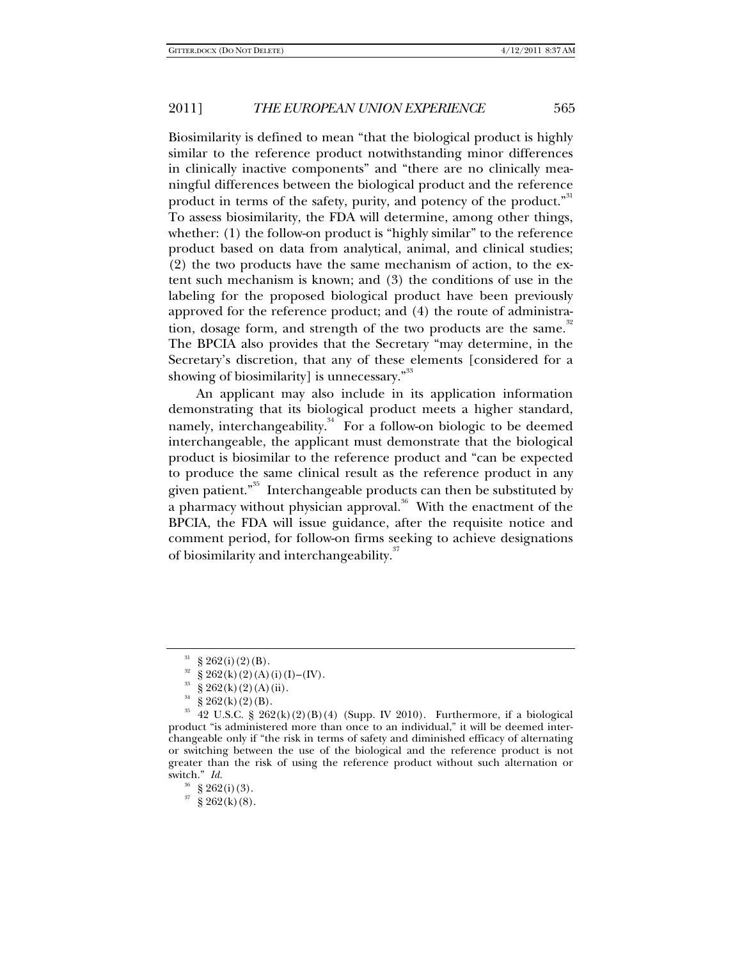Biosimilarity is defined to mean "that the biological product is highly similar to the reference product notwithstanding minor differences in clinically inactive components" and "there are no clinically meaningful differences between the biological product and the reference product in terms of the safety, purity, and potency of the product."<sup>31</sup> To assess biosimilarity, the FDA will determine, among other things, whether: (1) the follow-on product is "highly similar" to the reference product based on data from analytical, animal, and clinical studies; (2) the two products have the same mechanism of action, to the extent such mechanism is known; and (3) the conditions of use in the labeling for the proposed biological product have been previously approved for the reference product; and (4) the route of administration, dosage form, and strength of the two products are the same.<sup>32</sup> The BPCIA also provides that the Secretary "may determine, in the Secretary's discretion, that any of these elements [considered for a showing of biosimilarity] is unnecessary."<sup>33</sup>

An applicant may also include in its application information demonstrating that its biological product meets a higher standard, namely, interchangeability. $34$  For a follow-on biologic to be deemed interchangeable, the applicant must demonstrate that the biological product is biosimilar to the reference product and "can be expected to produce the same clinical result as the reference product in any given patient."35 Interchangeable products can then be substituted by a pharmacy without physician approval.<sup>36</sup> With the enactment of the BPCIA, the FDA will issue guidance, after the requisite notice and comment period, for follow-on firms seeking to achieve designations of biosimilarity and interchangeability.<sup>37</sup>

 $37\over{8}$  262(k)(8).

 $\S 262(i)(2)(B)$ .

 $^{32}$  § 262(k)(2)(A)(i)(I)–(IV).<br> $^{33}$  s 262(1)(2)(A)(i)

 $^{33}$  § 262(k)(2)(A)(ii).

 $\S 262(k)(2)(B)$ .

 $35$  42 U.S.C. § 262(k)(2)(B)(4) (Supp. IV 2010). Furthermore, if a biological product "is administered more than once to an individual," it will be deemed interchangeable only if "the risk in terms of safety and diminished efficacy of alternating or switching between the use of the biological and the reference product is not greater than the risk of using the reference product without such alternation or switch." *Id.*

 $§ 262(i)(3).$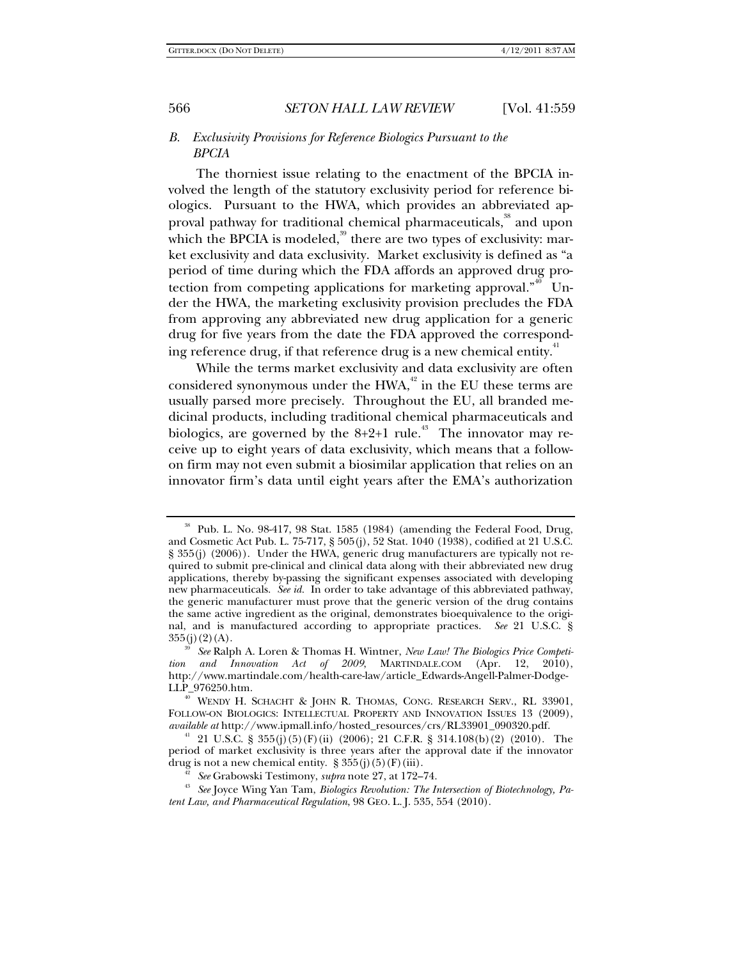## *B. Exclusivity Provisions for Reference Biologics Pursuant to the BPCIA*

The thorniest issue relating to the enactment of the BPCIA involved the length of the statutory exclusivity period for reference biologics. Pursuant to the HWA, which provides an abbreviated approval pathway for traditional chemical pharmaceuticals,<sup>38</sup> and upon which the BPCIA is modeled, $39$  there are two types of exclusivity: market exclusivity and data exclusivity. Market exclusivity is defined as "a period of time during which the FDA affords an approved drug protection from competing applications for marketing approval. $n^{40}$  Under the HWA, the marketing exclusivity provision precludes the FDA from approving any abbreviated new drug application for a generic drug for five years from the date the FDA approved the corresponding reference drug, if that reference drug is a new chemical entity.<sup>41</sup>

While the terms market exclusivity and data exclusivity are often considered synonymous under the HWA, $42$  in the EU these terms are usually parsed more precisely. Throughout the EU, all branded medicinal products, including traditional chemical pharmaceuticals and biologics, are governed by the  $8+2+1$  rule.<sup>43</sup> The innovator may receive up to eight years of data exclusivity, which means that a followon firm may not even submit a biosimilar application that relies on an innovator firm's data until eight years after the EMA's authorization

<sup>38</sup> Pub. L. No. 98-417, 98 Stat. 1585 (1984) (amending the Federal Food, Drug, and Cosmetic Act Pub. L. 75-717, § 505(j), 52 Stat. 1040 (1938), codified at 21 U.S.C. § 355(j) (2006)). Under the HWA, generic drug manufacturers are typically not required to submit pre-clinical and clinical data along with their abbreviated new drug applications, thereby by-passing the significant expenses associated with developing new pharmaceuticals. *See id.* In order to take advantage of this abbreviated pathway, the generic manufacturer must prove that the generic version of the drug contains the same active ingredient as the original, demonstrates bioequivalence to the original, and is manufactured according to appropriate practices. *See* 21 U.S.C. § 355(j)(2)(A). 39 *See* Ralph A. Loren & Thomas H. Wintner, *New Law! The Biologics Price Competi-*

*tion and Innovation Act of 2009*, MARTINDALE.COM (Apr. 12, 2010), http://www.martindale.com/health-care-law/article\_Edwards-Angell-Palmer-Dodge-

<sup>&</sup>lt;sup>40</sup> WENDY H. SCHACHT & JOHN R. THOMAS, CONG. RESEARCH SERV., RL 33901, FOLLOW-ON BIOLOGICS: INTELLECTUAL PROPERTY AND INNOVATION ISSUES 13 (2009), *available at* http://www.ipmall.info/hosted\_resources/crs/RL33901\_090320.pdf.

<sup>&</sup>lt;sup>41</sup> 21 U.S.C. § 355(j)(5)(F)(ii) (2006); 21 C.F.R. § 314.108(b)(2) (2010). The period of market exclusivity is three years after the approval date if the innovator drug is not a new chemical entity. §  $355(j)(5)(F)(iii)$ .<br><sup>42</sup> *See* Grabowski Testimony, *supra* note 27, at 172–74.<br><sup>43</sup> *See* Joyce Wing Yan Tam, *Biologics Revolution: The Intersection of Biotechnology, Pa-*

*tent Law, and Pharmaceutical Regulation*, 98 GEO. L. J. 535, 554 (2010).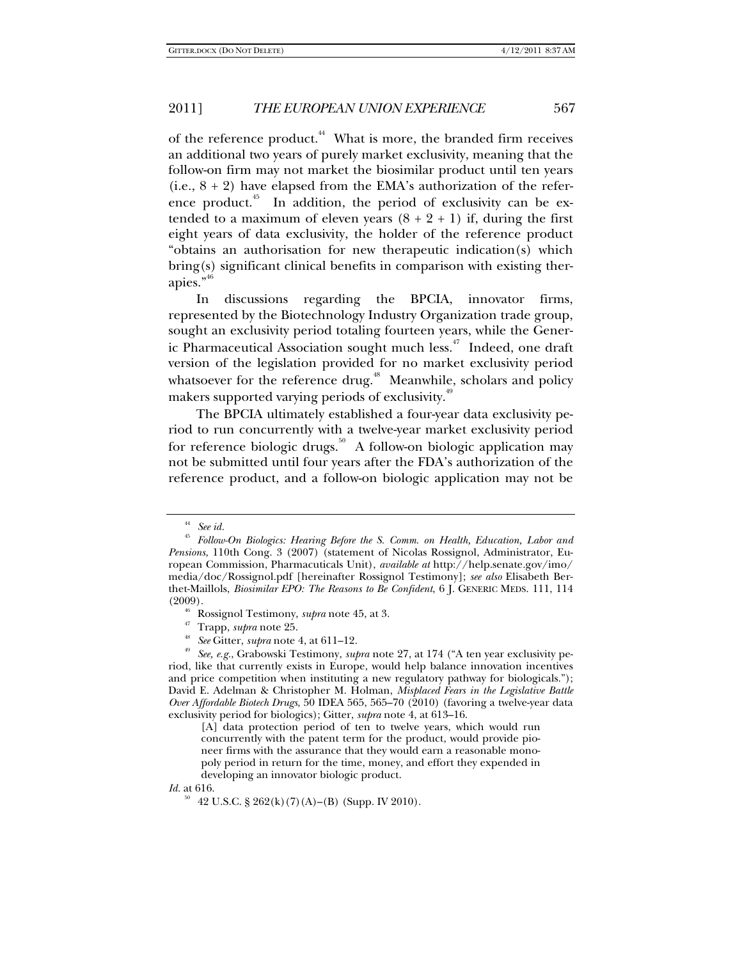of the reference product.<sup>44</sup> What is more, the branded firm receives an additional two years of purely market exclusivity, meaning that the follow-on firm may not market the biosimilar product until ten years (i.e.,  $8 + 2$ ) have elapsed from the EMA's authorization of the reference product.<sup> $45$ </sup> In addition, the period of exclusivity can be extended to a maximum of eleven years  $(8 + 2 + 1)$  if, during the first eight years of data exclusivity, the holder of the reference product "obtains an authorisation for new therapeutic indication(s) which bring(s) significant clinical benefits in comparison with existing therapies."<sup>46</sup>

In discussions regarding the BPCIA, innovator firms, represented by the Biotechnology Industry Organization trade group, sought an exclusivity period totaling fourteen years, while the Generic Pharmaceutical Association sought much less.<sup>47</sup> Indeed, one draft version of the legislation provided for no market exclusivity period whatsoever for the reference drug.<sup>48</sup> Meanwhile, scholars and policy makers supported varying periods of exclusivity.<sup>41</sup>

The BPCIA ultimately established a four-year data exclusivity period to run concurrently with a twelve-year market exclusivity period for reference biologic drugs.<sup>50</sup> A follow-on biologic application may not be submitted until four years after the FDA's authorization of the reference product, and a follow-on biologic application may not be

<sup>44</sup> *See id.*

<sup>45</sup> *Follow-On Biologics: Hearing Before the S. Comm. on Health, Education, Labor and Pensions*, 110th Cong. 3 (2007) (statement of Nicolas Rossignol, Administrator, European Commission, Pharmacuticals Unit), *available at* http://help.senate.gov/imo/ media/doc/Rossignol.pdf [hereinafter Rossignol Testimony]; *see also* Elisabeth Berthet-Maillols, *Biosimilar EPO: The Reasons to Be Confident*, 6 J. GENERIC MEDS. 111, 114

<sup>&</sup>lt;sup>46</sup> Rossignol Testimony, *supra* note 45, at 3.<br><sup>47</sup> Trapp, *supra* note 25.<br><sup>48</sup> See Gitter, *supra* note 4, at 611–12.<br><sup>49</sup> See, e.g., Grabowski Testimony, *supra* note 27, at 174 ("A ten year exclusivity period, like that currently exists in Europe, would help balance innovation incentives and price competition when instituting a new regulatory pathway for biologicals."); David E. Adelman & Christopher M. Holman, *Misplaced Fears in the Legislative Battle Over Affordable Biotech Drugs*, 50 IDEA 565, 565–70 (2010) (favoring a twelve-year data exclusivity period for biologics); Gitter, *supra* note 4, at 613–16.

<sup>[</sup>A] data protection period of ten to twelve years, which would run concurrently with the patent term for the product, would provide pioneer firms with the assurance that they would earn a reasonable monopoly period in return for the time, money, and effort they expended in developing an innovator biologic product.

*Id.* at 616.

 $50$  42 U.S.C. § 262(k)(7)(A)–(B) (Supp. IV 2010).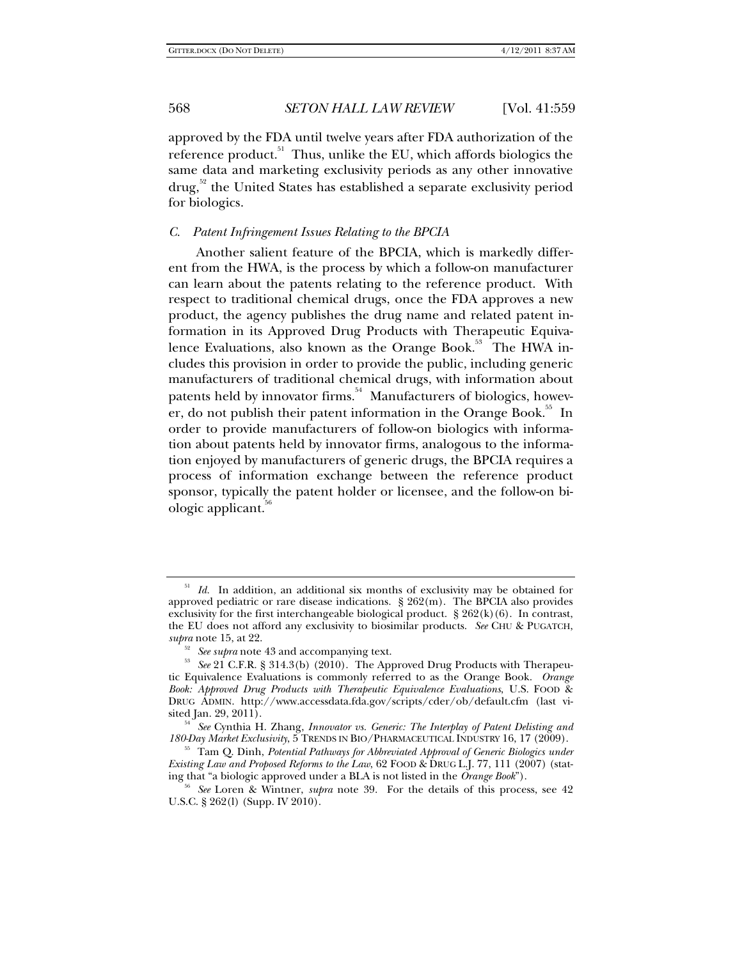approved by the FDA until twelve years after FDA authorization of the reference product.<sup>51</sup> Thus, unlike the EU, which affords biologics the same data and marketing exclusivity periods as any other innovative  $d\text{rug}^{52}$  the United States has established a separate exclusivity period for biologics.

## *C. Patent Infringement Issues Relating to the BPCIA*

Another salient feature of the BPCIA, which is markedly different from the HWA, is the process by which a follow-on manufacturer can learn about the patents relating to the reference product. With respect to traditional chemical drugs, once the FDA approves a new product, the agency publishes the drug name and related patent information in its Approved Drug Products with Therapeutic Equivalence Evaluations, also known as the Orange Book.<sup>53</sup> The HWA includes this provision in order to provide the public, including generic manufacturers of traditional chemical drugs, with information about patents held by innovator firms.<sup>54</sup> Manufacturers of biologics, however, do not publish their patent information in the Orange Book.<sup>55</sup> In order to provide manufacturers of follow-on biologics with information about patents held by innovator firms, analogous to the information enjoyed by manufacturers of generic drugs, the BPCIA requires a process of information exchange between the reference product sponsor, typically the patent holder or licensee, and the follow-on biologic applicant.<sup>50</sup>

<sup>&</sup>lt;sup>51</sup> *Id.* In addition, an additional six months of exclusivity may be obtained for approved pediatric or rare disease indications. § 262(m). The BPCIA also provides exclusivity for the first interchangeable biological product.  $\S 262(k)(6)$ . In contrast, the EU does not afford any exclusivity to biosimilar products. *See* CHU & PUGATCH,

*supra* note 15, at 22. 52 *See supra* note 43 and accompanying text. 53 *See* 21 C.F.R. § 314.3(b) (2010). The Approved Drug Products with Therapeutic Equivalence Evaluations is commonly referred to as the Orange Book. *Orange Book: Approved Drug Products with Therapeutic Equivalence Evaluations*, U.S. FOOD & DRUG ADMIN. http://www.accessdata.fda.gov/scripts/cder/ob/default.cfm (last vi-

<sup>&</sup>lt;sup>54</sup> See Cynthia H. Zhang, *Innovator vs. Generic: The Interplay of Patent Delisting and 180-Day Market Exclusivity, 5 TRENDS IN BIO/PHARMACEUTICAL INDUSTRY 16, 17 (2009).* 

<sup>&</sup>lt;sup>55</sup> Tam Q. Dinh, *Potential Pathways for Abbreviated Approval of Generic Biologics under Existing Law and Proposed Reforms to the Law*, 62 FOOD & DRUG L.J. 77, 111 (2007) (stating that "a biologic approved under a BLA is not listed in the *Orange Book*").

*See* Loren & Wintner, *supra* note 39. For the details of this process, see 42 U.S.C. § 262(l) (Supp. IV 2010).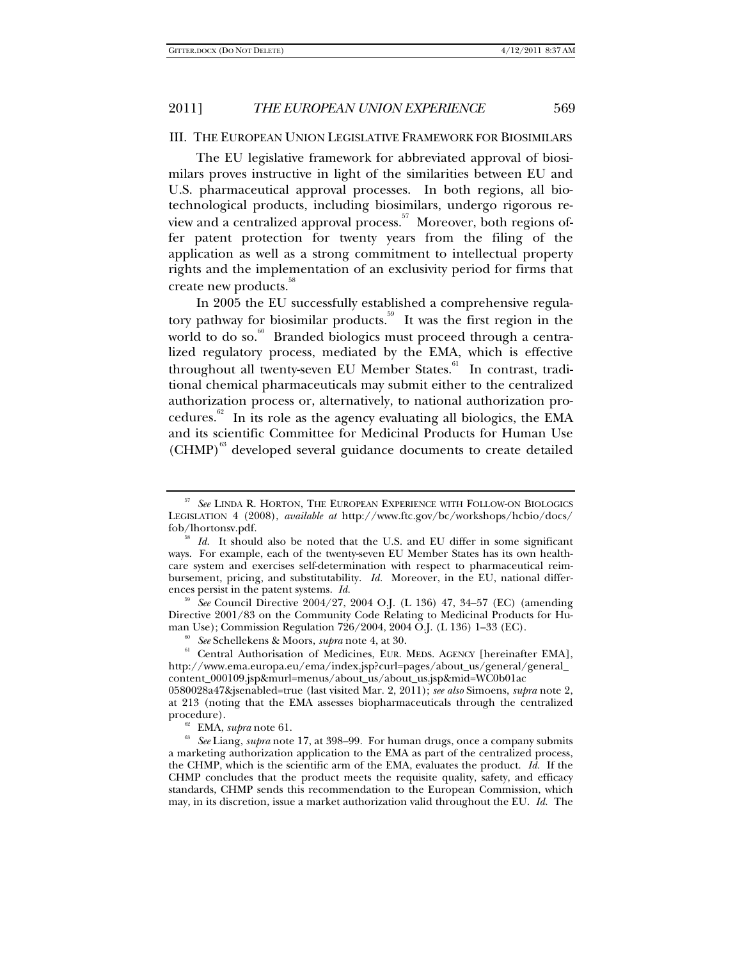#### III. THE EUROPEAN UNION LEGISLATIVE FRAMEWORK FOR BIOSIMILARS

The EU legislative framework for abbreviated approval of biosimilars proves instructive in light of the similarities between EU and U.S. pharmaceutical approval processes. In both regions, all biotechnological products, including biosimilars, undergo rigorous review and a centralized approval process.<sup>57</sup> Moreover, both regions offer patent protection for twenty years from the filing of the application as well as a strong commitment to intellectual property rights and the implementation of an exclusivity period for firms that create new products.<sup>38</sup>

In 2005 the EU successfully established a comprehensive regulatory pathway for biosimilar products.<sup>59</sup> It was the first region in the world to do so.<sup>60</sup> Branded biologics must proceed through a centralized regulatory process, mediated by the EMA, which is effective throughout all twenty-seven EU Member States.<sup>61</sup> In contrast, traditional chemical pharmaceuticals may submit either to the centralized authorization process or, alternatively, to national authorization procedures. $62$  In its role as the agency evaluating all biologics, the EMA and its scientific Committee for Medicinal Products for Human Use (CHMP)<sup>63</sup> developed several guidance documents to create detailed

<sup>59</sup> *See* Council Directive 2004/27, 2004 O.J. (L 136) 47, 34–57 (EC) (amending Directive 2001/83 on the Community Code Relating to Medicinal Products for Hu-

man Use); Commission Regulation 726/2004, 2004 O.J. (L 136) 1–33 (EC).<br><sup>60</sup> *See* Schellekens & Moors, *supra* note 4, at 30.<br><sup>61</sup> Central Authorisation of Medicines, EUR. MEDS. AGENCY [hereinafter EMA], http://www.ema.europa.eu/ema/index.jsp?curl=pages/about\_us/general/general\_ content\_000109.jsp&murl=menus/about\_us/about\_us.jsp&mid=WC0b01ac

<sup>57</sup> *See* LINDA R. HORTON, THE EUROPEAN EXPERIENCE WITH FOLLOW-ON BIOLOGICS LEGISLATION 4 (2008), *available at* http://www.ftc.gov/bc/workshops/hcbio/docs/

fob/lhortonsv.pdf. 58 *Id.* It should also be noted that the U.S. and EU differ in some significant ways. For example, each of the twenty-seven EU Member States has its own healthcare system and exercises self-determination with respect to pharmaceutical reimbursement, pricing, and substitutability. *Id.* Moreover, in the EU, national differences persist in the patent systems. *Id.*

<sup>0580028</sup>a47&jsenabled=true (last visited Mar. 2, 2011); *see also* Simoens, *supra* note 2, at 213 (noting that the EMA assesses biopharmaceuticals through the centralized

procedure).<br><sup>62</sup> EMA, *supra* note 61.<br><sup>63</sup> *See* Liang, *supra* note 17, at 398–99. For human drugs, once a company submits a marketing authorization application to the EMA as part of the centralized process, the CHMP, which is the scientific arm of the EMA, evaluates the product. *Id.* If the CHMP concludes that the product meets the requisite quality, safety, and efficacy standards, CHMP sends this recommendation to the European Commission, which may, in its discretion, issue a market authorization valid throughout the EU. *Id.* The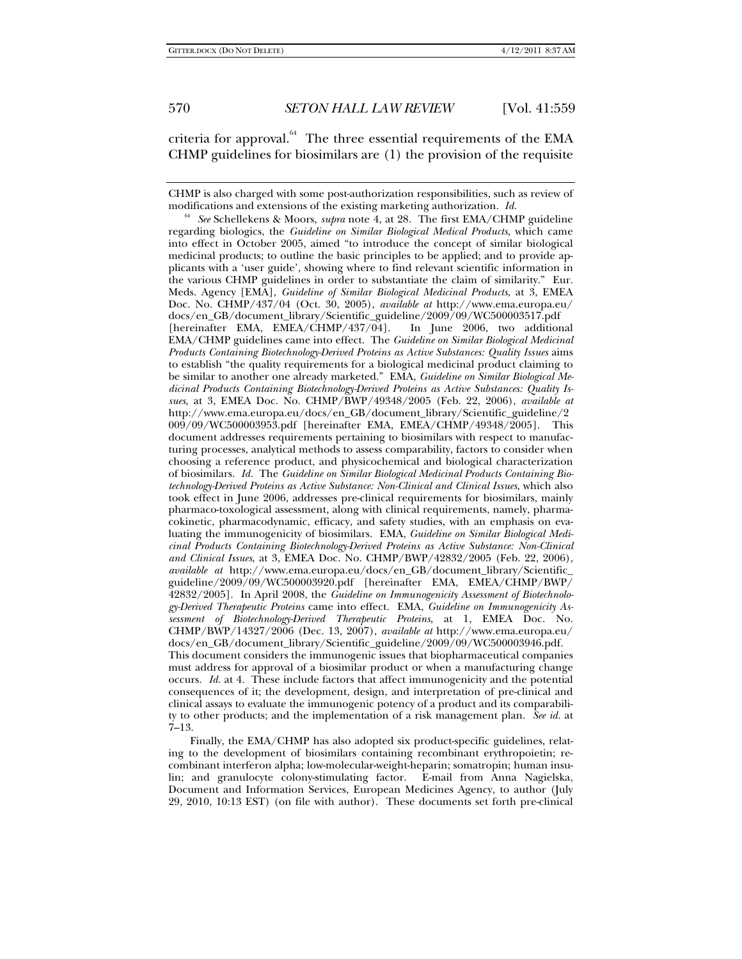criteria for approval. $^{64}$  The three essential requirements of the EMA CHMP guidelines for biosimilars are (1) the provision of the requisite

CHMP is also charged with some post-authorization responsibilities, such as review of modifications and extensions of the existing marketing authorization. *Id.*

<sup>54</sup> See Schellekens & Moors, *supra* note 4, at 28. The first EMA/CHMP guideline regarding biologics, the *Guideline on Similar Biological Medical Products*, which came into effect in October 2005, aimed "to introduce the concept of similar biological medicinal products; to outline the basic principles to be applied; and to provide applicants with a 'user guide', showing where to find relevant scientific information in the various CHMP guidelines in order to substantiate the claim of similarity." Eur. Meds. Agency [EMA], *Guideline of Similar Biological Medicinal Products*, at 3, EMEA Doc. No. CHMP/437/04 (Oct. 30, 2005), *available at* http://www.ema.europa.eu/ docs/en\_GB/document\_library/Scientific\_guideline/2009/09/WC500003517.pdf [hereinafter EMA, EMEA/CHMP/437/04]. In June 2006, two additional EMA/CHMP guidelines came into effect. The *Guideline on Similar Biological Medicinal Products Containing Biotechnology-Derived Proteins as Active Substances: Quality Issues* aims to establish "the quality requirements for a biological medicinal product claiming to be similar to another one already marketed." EMA, *Guideline on Similar Biological Medicinal Products Containing Biotechnology-Derived Proteins as Active Substances: Quality Issues*, at 3, EMEA Doc. No. CHMP/BWP/49348/2005 (Feb. 22, 2006), *available at* http://www.ema.europa.eu/docs/en\_GB/document\_library/Scientific\_guideline/2 009/09/WC500003953.pdf [hereinafter EMA, EMEA/CHMP/49348/2005]. This document addresses requirements pertaining to biosimilars with respect to manufacturing processes, analytical methods to assess comparability, factors to consider when choosing a reference product, and physicochemical and biological characterization of biosimilars. *Id.* The *Guideline on Similar Biological Medicinal Products Containing Biotechnology-Derived Proteins as Active Substance: Non-Clinical and Clinical Issues*, which also took effect in June 2006, addresses pre-clinical requirements for biosimilars, mainly pharmaco-toxological assessment, along with clinical requirements, namely, pharmacokinetic, pharmacodynamic, efficacy, and safety studies, with an emphasis on evaluating the immunogenicity of biosimilars. EMA, *Guideline on Similar Biological Medicinal Products Containing Biotechnology-Derived Proteins as Active Substance: Non-Clinical and Clinical Issues*, at 3, EMEA Doc. No. CHMP/BWP/42832/2005 (Feb. 22, 2006), *available at* http://www.ema.europa.eu/docs/en\_GB/document\_library/Scientific\_ guideline/2009/09/WC500003920.pdf [hereinafter EMA, EMEA/CHMP/BWP/ 42832/2005]. In April 2008, the *Guideline on Immunogenicity Assessment of Biotechnology-Derived Therapeutic Proteins* came into effect. EMA, *Guideline on Immunogenicity Assessment of Biotechnology-Derived Therapeutic Proteins*, at 1, EMEA Doc. No. CHMP/BWP/14327/2006 (Dec. 13, 2007), *available at* http://www.ema.europa.eu/ docs/en\_GB/document\_library/Scientific\_guideline/2009/09/WC500003946.pdf. This document considers the immunogenic issues that biopharmaceutical companies must address for approval of a biosimilar product or when a manufacturing change occurs. *Id.* at 4. These include factors that affect immunogenicity and the potential consequences of it; the development, design, and interpretation of pre-clinical and clinical assays to evaluate the immunogenic potency of a product and its comparability to other products; and the implementation of a risk management plan. *See id.* at 7–13.

Finally, the EMA/CHMP has also adopted six product-specific guidelines, relating to the development of biosimilars containing recombinant erythropoietin; recombinant interferon alpha; low-molecular-weight-heparin; somatropin; human insulin; and granulocyte colony-stimulating factor. E-mail from Anna Nagielska, Document and Information Services, European Medicines Agency, to author (July 29, 2010, 10:13 EST) (on file with author). These documents set forth pre-clinical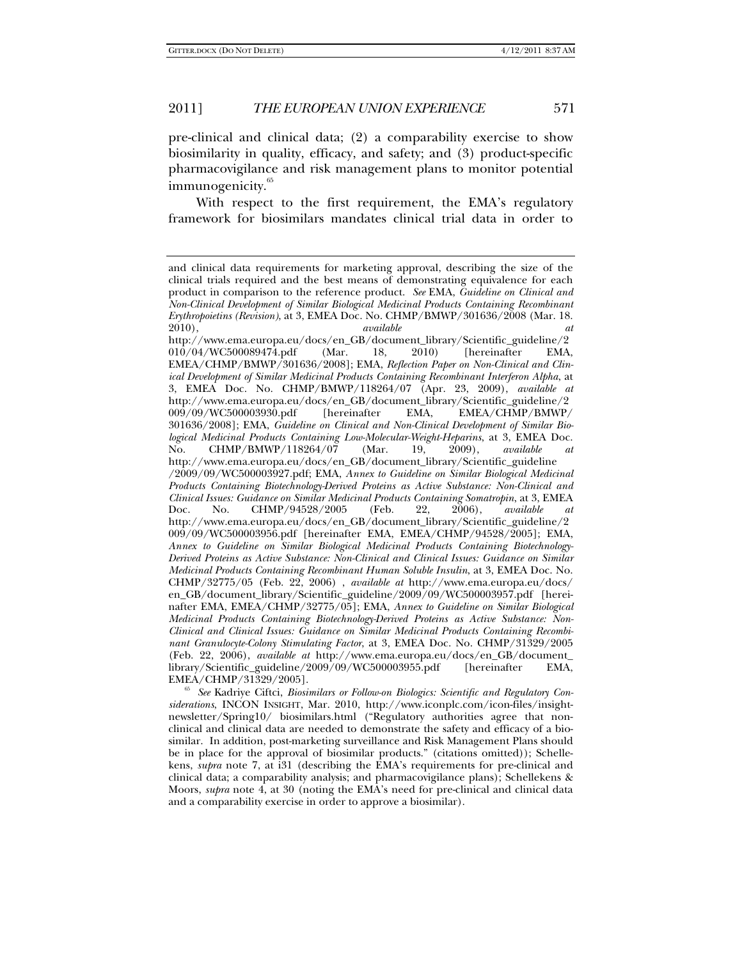pre-clinical and clinical data; (2) a comparability exercise to show biosimilarity in quality, efficacy, and safety; and (3) product-specific pharmacovigilance and risk management plans to monitor potential immunogenicity.<sup>65</sup>

With respect to the first requirement, the EMA's regulatory framework for biosimilars mandates clinical trial data in order to

*siderations*, INCON INSIGHT, Mar. 2010, http://www.iconplc.com/icon-files/insightnewsletter/Spring10/ biosimilars.html ("Regulatory authorities agree that nonclinical and clinical data are needed to demonstrate the safety and efficacy of a biosimilar. In addition, post-marketing surveillance and Risk Management Plans should be in place for the approval of biosimilar products." (citations omitted)); Schellekens, *supra* note 7, at i31 (describing the EMA's requirements for pre-clinical and clinical data; a comparability analysis; and pharmacovigilance plans); Schellekens & Moors, *supra* note 4, at 30 (noting the EMA's need for pre-clinical and clinical data and a comparability exercise in order to approve a biosimilar).

and clinical data requirements for marketing approval, describing the size of the clinical trials required and the best means of demonstrating equivalence for each product in comparison to the reference product. *See* EMA, *Guideline on Clinical and Non-Clinical Development of Similar Biological Medicinal Products Containing Recombinant Erythropoietins (Revision)*, at 3, EMEA Doc. No. CHMP/BMWP/301636/2008 (Mar. 18. 2010), *available at* http://www.ema.europa.eu/docs/en\_GB/document\_library/Scientific\_guideline/2 010/04/WC500089474.pdf (Mar. 18, 2010) [hereinafter EMA, EMEA/CHMP/BMWP/301636/2008]; EMA, *Reflection Paper on Non-Clinical and Clinical Development of Similar Medicinal Products Containing Recombinant Interferon Alpha*, at 3, EMEA Doc. No. CHMP/BMWP/118264/07 (Apr. 23, 2009), *available at*  http://www.ema.europa.eu/docs/en\_GB/document\_library/Scientific\_guideline/2 009/09/WC500003930.pdf [hereinafter EMA, EMEA/CHMP/BMWP/ 301636/2008]; EMA, *Guideline on Clinical and Non-Clinical Development of Similar Biological Medicinal Products Containing Low-Molecular-Weight-Heparins*, at 3, EMEA Doc. No. CHMP/BMWP/118264/07 (Mar. 19, 2009), *available* http://www.ema.europa.eu/docs/en\_GB/document\_library/Scientific\_guideline /2009/09/WC500003927.pdf; EMA, *Annex to Guideline on Similar Biological Medicinal Products Containing Biotechnology-Derived Proteins as Active Substance: Non-Clinical and Clinical Issues: Guidance on Similar Medicinal Products Containing Somatropin*, at 3, EMEA Doc. No. CHMP/94528/2005 (Feb. 22, 2006), *available at* http://www.ema.europa.eu/docs/en\_GB/document\_library/Scientific\_guideline/2 009/09/WC500003956.pdf [hereinafter EMA, EMEA/CHMP/94528/2005]; EMA, *Annex to Guideline on Similar Biological Medicinal Products Containing Biotechnology-Derived Proteins as Active Substance: Non-Clinical and Clinical Issues: Guidance on Similar Medicinal Products Containing Recombinant Human Soluble Insulin*, at 3, EMEA Doc. No. CHMP/32775/05 (Feb. 22, 2006) , *available at* http://www.ema.europa.eu/docs/ en\_GB/document\_library/Scientific\_guideline/2009/09/WC500003957.pdf [hereinafter EMA, EMEA/CHMP/32775/05]; EMA, *Annex to Guideline on Similar Biological Medicinal Products Containing Biotechnology-Derived Proteins as Active Substance: Non-Clinical and Clinical Issues: Guidance on Similar Medicinal Products Containing Recombinant Granulocyte-Colony Stimulating Factor*, at 3, EMEA Doc. No. CHMP/31329/2005 (Feb. 22, 2006), *available at* http://www.ema.europa.eu/docs/en\_GB/document\_ library/Scientific\_guideline/2009/09/WC500003955.pdf [hereinafter EMA, EMEA/CHMP/31329/2005]. 65 *See* Kadriye Ciftci, *Biosimilars or Follow-on Biologics: Scientific and Regulatory Con-*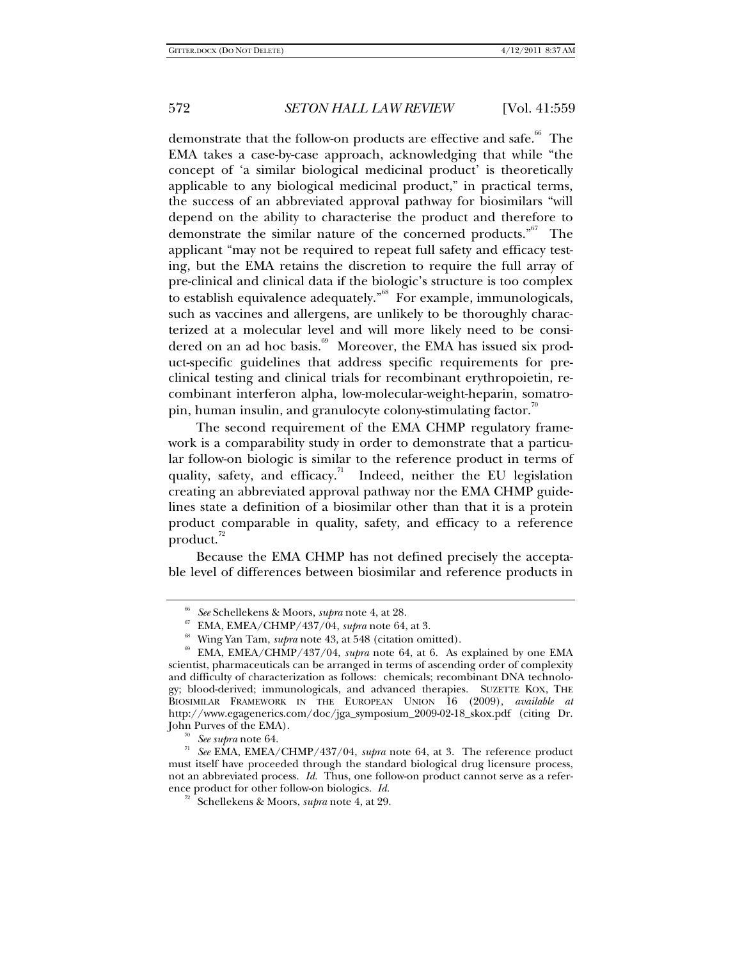demonstrate that the follow-on products are effective and safe.<sup>66</sup> The EMA takes a case-by-case approach, acknowledging that while "the concept of 'a similar biological medicinal product' is theoretically applicable to any biological medicinal product," in practical terms, the success of an abbreviated approval pathway for biosimilars "will depend on the ability to characterise the product and therefore to demonstrate the similar nature of the concerned products."<sup>67</sup> The applicant "may not be required to repeat full safety and efficacy testing, but the EMA retains the discretion to require the full array of pre-clinical and clinical data if the biologic's structure is too complex to establish equivalence adequately."68 For example, immunologicals, such as vaccines and allergens, are unlikely to be thoroughly characterized at a molecular level and will more likely need to be considered on an ad hoc basis.<sup>69</sup> Moreover, the EMA has issued six product-specific guidelines that address specific requirements for preclinical testing and clinical trials for recombinant erythropoietin, recombinant interferon alpha, low-molecular-weight-heparin, somatropin, human insulin, and granulocyte colony-stimulating factor.<sup>70</sup>

The second requirement of the EMA CHMP regulatory framework is a comparability study in order to demonstrate that a particular follow-on biologic is similar to the reference product in terms of quality, safety, and efficacy.<sup>71</sup> Indeed, neither the EU legislation creating an abbreviated approval pathway nor the EMA CHMP guidelines state a definition of a biosimilar other than that it is a protein product comparable in quality, safety, and efficacy to a reference product. $^{72}$ 

Because the EMA CHMP has not defined precisely the acceptable level of differences between biosimilar and reference products in

<sup>%</sup> See Schellekens & Moors, *supra* note 4, at 28.<br>
% EMA, EMEA/CHMP/437/04, *supra* note 64, at 3.<br>
% Wing Yan Tam, *supra* note 43, at 548 (citation omitted).<br>
% EMA, EMEA/CHMP/437/04, *supra* note 64, at 6. As explained scientist, pharmaceuticals can be arranged in terms of ascending order of complexity and difficulty of characterization as follows: chemicals; recombinant DNA technology; blood-derived; immunologicals, and advanced therapies. SUZETTE KOX, THE BIOSIMILAR FRAMEWORK IN THE EUROPEAN UNION 16 (2009), *available at*  http://www.egagenerics.com/doc/jga\_symposium\_2009-02-18\_skox.pdf (citing Dr. John Purves of the EMA). 70 *See supra* note 64. 71 *See* EMA, EMEA/CHMP/437/04, *supra* note 64, at 3. The reference product

must itself have proceeded through the standard biological drug licensure process, not an abbreviated process. *Id.* Thus, one follow-on product cannot serve as a reference product for other follow-on biologics. *Id.* 

<sup>72</sup> Schellekens & Moors, *supra* note 4, at 29.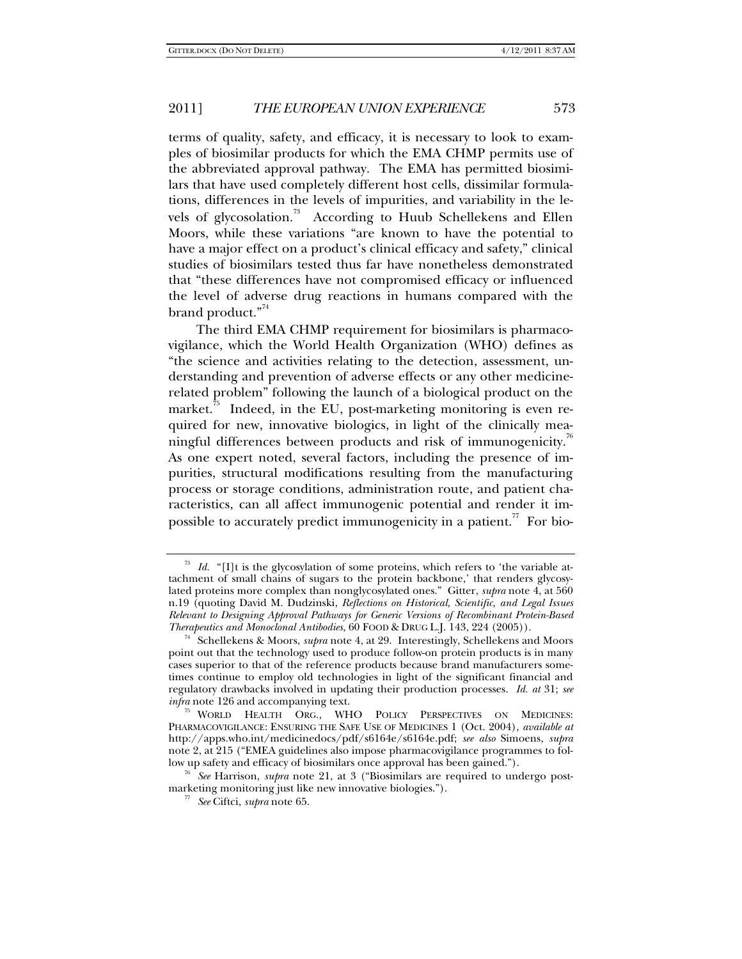terms of quality, safety, and efficacy, it is necessary to look to examples of biosimilar products for which the EMA CHMP permits use of the abbreviated approval pathway. The EMA has permitted biosimilars that have used completely different host cells, dissimilar formulations, differences in the levels of impurities, and variability in the levels of glycosolation.<sup>73</sup> According to Huub Schellekens and Ellen Moors, while these variations "are known to have the potential to have a major effect on a product's clinical efficacy and safety," clinical studies of biosimilars tested thus far have nonetheless demonstrated that "these differences have not compromised efficacy or influenced the level of adverse drug reactions in humans compared with the brand product."<sup>74</sup>

The third EMA CHMP requirement for biosimilars is pharmacovigilance, which the World Health Organization (WHO) defines as "the science and activities relating to the detection, assessment, understanding and prevention of adverse effects or any other medicinerelated problem" following the launch of a biological product on the market.<sup>35</sup> Indeed, in the EU, post-marketing monitoring is even required for new, innovative biologics, in light of the clinically meaningful differences between products and risk of immunogenicity.<sup>"</sup> As one expert noted, several factors, including the presence of impurities, structural modifications resulting from the manufacturing process or storage conditions, administration route, and patient characteristics, can all affect immunogenic potential and render it impossible to accurately predict immunogenicity in a patient.<sup>77</sup> For bio-

marketing monitoring just like new innovative biologies."). 77 *See* Ciftci, *supra* note 65.

 $73$  *Id.* "[I]t is the glycosylation of some proteins, which refers to 'the variable attachment of small chains of sugars to the protein backbone,' that renders glycosylated proteins more complex than nonglycosylated ones." Gitter, *supra* note 4, at 560 n.19 (quoting David M. Dudzinski, *Reflections on Historical, Scientific, and Legal Issues Relevant to Designing Approval Pathways for Generic Versions of Recombinant Protein-Based* 

Schellekens & Moors, *supra* note 4, at 29. Interestingly, Schellekens and Moors point out that the technology used to produce follow-on protein products is in many cases superior to that of the reference products because brand manufacturers sometimes continue to employ old technologies in light of the significant financial and regulatory drawbacks involved in updating their production processes. *Id. at* 31; *see infra* note 126 and accompanying text.

<sup>&</sup>lt;sup>75</sup> WORLD HEALTH ORG., WHO POLICY PERSPECTIVES ON MEDICINES: PHARMACOVIGILANCE: ENSURING THE SAFE USE OF MEDICINES 1 (Oct. 2004), *available at* http://apps.who.int/medicinedocs/pdf/s6164e/s6164e.pdf; *see also* Simoens, *supra* note 2, at 215 ("EMEA guidelines also impose pharmacovigilance programmes to follow up safety and efficacy of biosimilars once approval has been gained."). 76 *See* Harrison, *supra* note 21, at 3 ("Biosimilars are required to undergo post-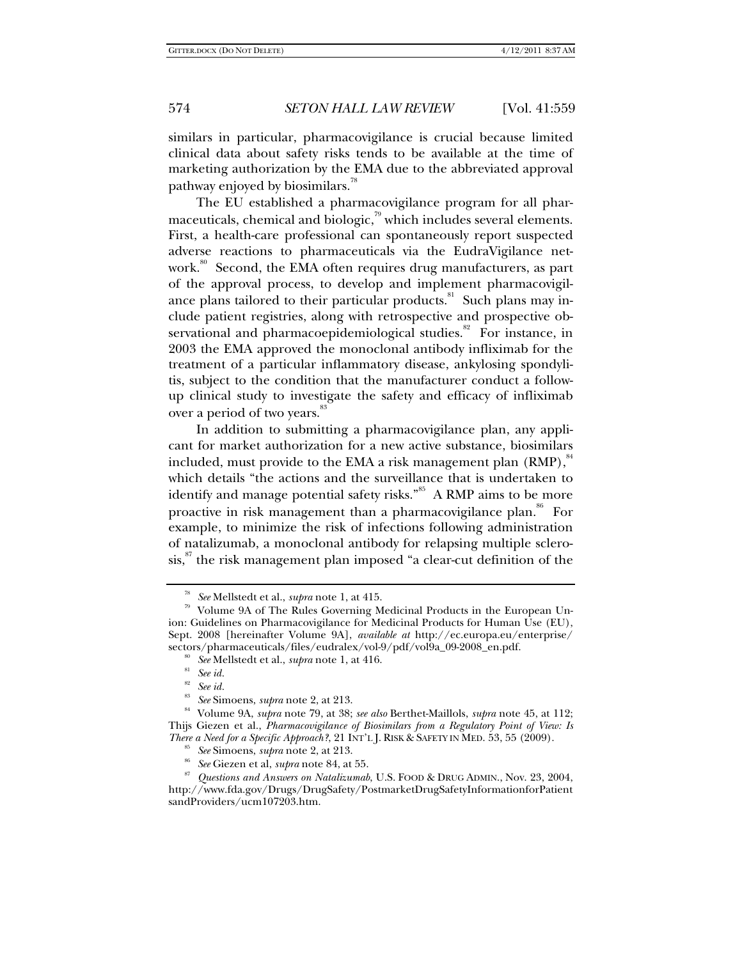similars in particular, pharmacovigilance is crucial because limited clinical data about safety risks tends to be available at the time of marketing authorization by the EMA due to the abbreviated approval pathway enjoyed by biosimilars.<sup>78</sup>

The EU established a pharmacovigilance program for all pharmaceuticals, chemical and biologic, $\frac{79}{10}$  which includes several elements. First, a health-care professional can spontaneously report suspected adverse reactions to pharmaceuticals via the EudraVigilance network.<sup>80</sup> Second, the EMA often requires drug manufacturers, as part of the approval process, to develop and implement pharmacovigilance plans tailored to their particular products.<sup>81</sup> Such plans may include patient registries, along with retrospective and prospective observational and pharmacoepidemiological studies.<sup>82</sup> For instance, in 2003 the EMA approved the monoclonal antibody infliximab for the treatment of a particular inflammatory disease, ankylosing spondylitis, subject to the condition that the manufacturer conduct a followup clinical study to investigate the safety and efficacy of infliximab over a period of two years.<sup>83</sup>

In addition to submitting a pharmacovigilance plan, any applicant for market authorization for a new active substance, biosimilars included, must provide to the EMA a risk management plan (RMP),<sup>84</sup> which details "the actions and the surveillance that is undertaken to identify and manage potential safety risks."<sup>85</sup> A RMP aims to be more proactive in risk management than a pharmacovigilance plan.<sup>86</sup> For example, to minimize the risk of infections following administration of natalizumab, a monoclonal antibody for relapsing multiple sclero $s$ is, the risk management plan imposed "a clear-cut definition of the

*See* Mellstedt et al., *supra* note 1, at 415.<br>Volume 9A of The Rules Governing Medicinal Products in the European Union: Guidelines on Pharmacovigilance for Medicinal Products for Human Use (EU), Sept. 2008 [hereinafter Volume 9A], *available at* http://ec.europa.eu/enterprise/ sectors/pharmaceuticals/files/eudralex/vol-9/pdf/vol9a\_09-2008\_en.pdf.<br><sup>80</sup> *See* Mellstedt et al., *supra* note 1, at 416.<br><sup>82</sup> *See id.* 

<sup>82</sup> *See id.*

<sup>83</sup> *See* Simoens, *supra* note 2, at 213. 84 Volume 9A, *supra* note 79, at 38; *see also* Berthet-Maillols, *supra* note 45, at 112; Thijs Giezen et al., *Pharmacovigilance of Biosimilars from a Regulatory Point of View: Is* 

by See Simoens, *supra* note 2, at 213.<br>
See Giezen et al, *supra* note 84, at 55.<br>
See Giezen et al, *supra* note 84, at 55.<br>
See Giezen et al, *supra* note 84, at 55.<br>
See Giezen and *Answers on Natalizumab*, U.S. FOOD http://www.fda.gov/Drugs/DrugSafety/PostmarketDrugSafetyInformationforPatient sandProviders/ucm107203.htm.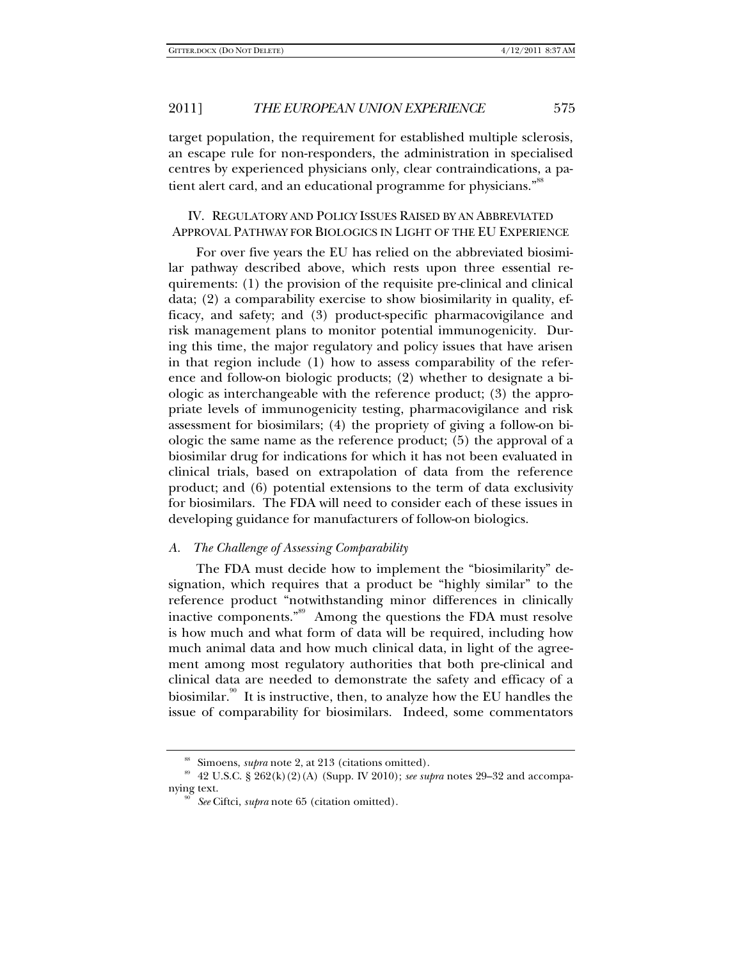target population, the requirement for established multiple sclerosis, an escape rule for non-responders, the administration in specialised centres by experienced physicians only, clear contraindications, a patient alert card, and an educational programme for physicians."<sup>88</sup>

## IV. REGULATORY AND POLICY ISSUES RAISED BY AN ABBREVIATED APPROVAL PATHWAY FOR BIOLOGICS IN LIGHT OF THE EU EXPERIENCE

For over five years the EU has relied on the abbreviated biosimilar pathway described above, which rests upon three essential requirements: (1) the provision of the requisite pre-clinical and clinical data; (2) a comparability exercise to show biosimilarity in quality, efficacy, and safety; and (3) product-specific pharmacovigilance and risk management plans to monitor potential immunogenicity. During this time, the major regulatory and policy issues that have arisen in that region include (1) how to assess comparability of the reference and follow-on biologic products; (2) whether to designate a biologic as interchangeable with the reference product; (3) the appropriate levels of immunogenicity testing, pharmacovigilance and risk assessment for biosimilars; (4) the propriety of giving a follow-on biologic the same name as the reference product; (5) the approval of a biosimilar drug for indications for which it has not been evaluated in clinical trials, based on extrapolation of data from the reference product; and (6) potential extensions to the term of data exclusivity for biosimilars. The FDA will need to consider each of these issues in developing guidance for manufacturers of follow-on biologics.

#### *A. The Challenge of Assessing Comparability*

The FDA must decide how to implement the "biosimilarity" designation, which requires that a product be "highly similar" to the reference product "notwithstanding minor differences in clinically inactive components."<sup>89</sup> Among the questions the FDA must resolve is how much and what form of data will be required, including how much animal data and how much clinical data, in light of the agreement among most regulatory authorities that both pre-clinical and clinical data are needed to demonstrate the safety and efficacy of a biosimilar.<sup>90</sup> It is instructive, then, to analyze how the EU handles the issue of comparability for biosimilars. Indeed, some commentators

<sup>&</sup>lt;sup>88</sup> Simoens, *supra* note 2, at 213 (citations omitted).<br><sup>89</sup> 42 U.S.C. § 262(k)(2)(A) (Supp. IV 2010); *see supra* notes 29–32 and accompanying text.<br><sup>90</sup> See Ciftci, *supra* note 65 (citation omitted).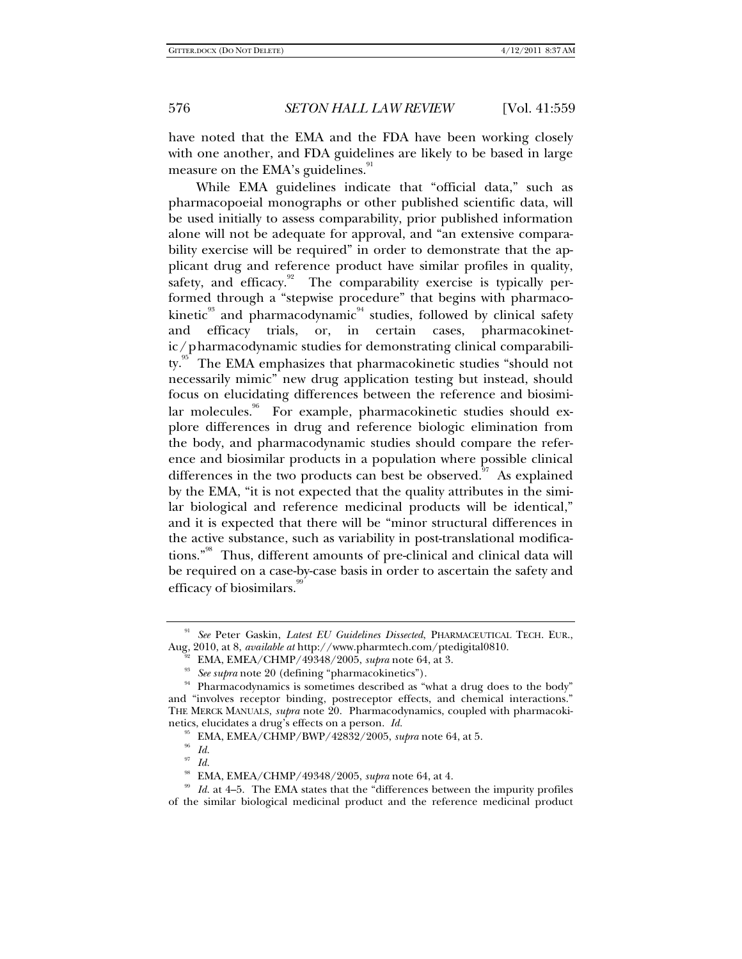have noted that the EMA and the FDA have been working closely with one another, and FDA guidelines are likely to be based in large measure on the EMA's guidelines.<sup>91</sup>

While EMA guidelines indicate that "official data," such as pharmacopoeial monographs or other published scientific data, will be used initially to assess comparability, prior published information alone will not be adequate for approval, and "an extensive comparability exercise will be required" in order to demonstrate that the applicant drug and reference product have similar profiles in quality, safety, and efficacy.<sup>92</sup> The comparability exercise is typically performed through a "stepwise procedure" that begins with pharmacokinetic<sup>93</sup> and pharmacodynamic<sup>94</sup> studies, followed by clinical safety and efficacy trials, or, in certain cases, pharmacokinetic/pharmacodynamic studies for demonstrating clinical comparability.<sup>95</sup> The EMA emphasizes that pharmacokinetic studies "should not necessarily mimic" new drug application testing but instead, should focus on elucidating differences between the reference and biosimilar molecules.<sup>96</sup> For example, pharmacokinetic studies should explore differences in drug and reference biologic elimination from the body, and pharmacodynamic studies should compare the reference and biosimilar products in a population where possible clinical differences in the two products can best be observed. $\frac{97}{10}$  As explained by the EMA, "it is not expected that the quality attributes in the similar biological and reference medicinal products will be identical," and it is expected that there will be "minor structural differences in the active substance, such as variability in post-translational modifications."98 Thus, different amounts of pre-clinical and clinical data will be required on a case-by-case basis in order to ascertain the safety and efficacy of biosimilars.

<sup>91</sup> *See* Peter Gaskin, *Latest EU Guidelines Dissected*, PHARMACEUTICAL TECH. EUR.,

Aug, 2010, at 8, *available at* http://www.pharmtech.com/ptedigital0810.<br><sup>92</sup> EMA, EMEA/CHMP/49348/2005, *supra* note 64, at 3.<br><sup>93</sup> See supra note 20 (defining "pharmacokinetics").<br><sup>93</sup> Pharmacodynamics is sometimes desc and "involves receptor binding, postreceptor effects, and chemical interactions." THE MERCK MANUALS, *supra* note 20. Pharmacodynamics, coupled with pharmacokinetics, elucidates a drug's effects on a person. *Id.*

<sup>&</sup>lt;sup>95</sup> EMA, EMEA/CHMP/BWP/42832/2005, *supra* note 64, at 5.<br><sup>96</sup> Id.

<sup>&</sup>lt;sup>97</sup> Id.<br><sup>98</sup> EMA, EMEA/CHMP/49348/2005, *supra* note 64, at 4.<br><sup>99</sup> Id. at 4–5. The EMA states that the "differences between the impurity profiles of the similar biological medicinal product and the reference medicinal product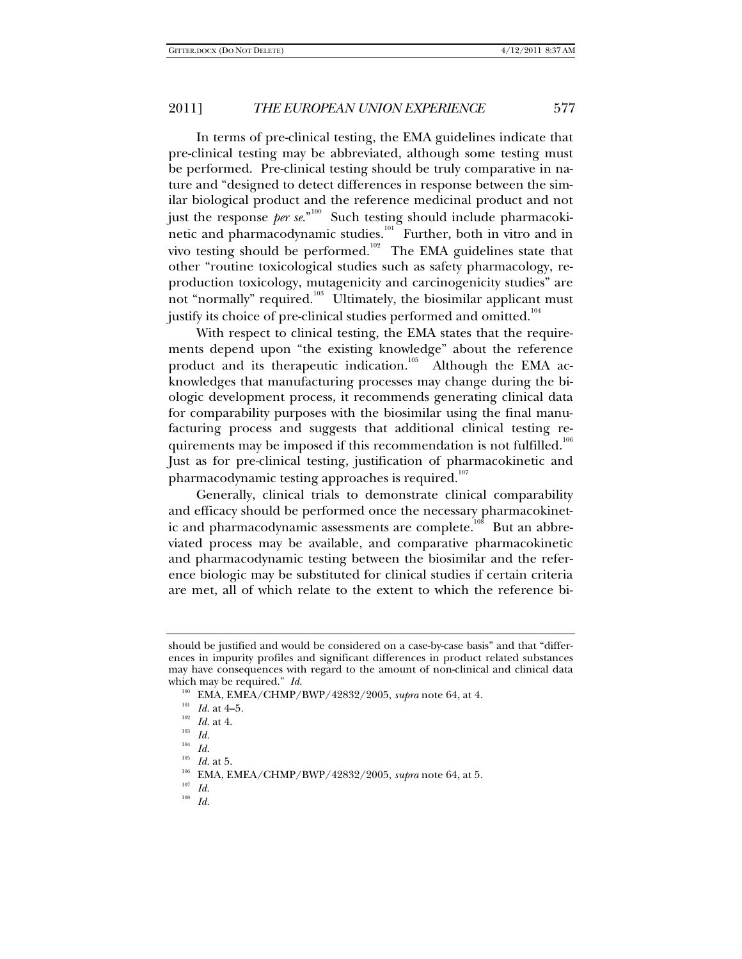In terms of pre-clinical testing, the EMA guidelines indicate that pre-clinical testing may be abbreviated, although some testing must be performed. Pre-clinical testing should be truly comparative in nature and "designed to detect differences in response between the similar biological product and the reference medicinal product and not just the response *per se*."100 Such testing should include pharmacokinetic and pharmacodynamic studies.<sup>101</sup> Further, both in vitro and in vivo testing should be performed.<sup>102</sup> The EMA guidelines state that other "routine toxicological studies such as safety pharmacology, reproduction toxicology, mutagenicity and carcinogenicity studies" are not "normally" required.<sup>103</sup> Ultimately, the biosimilar applicant must justify its choice of pre-clinical studies performed and omitted.<sup>104</sup>

With respect to clinical testing, the EMA states that the requirements depend upon "the existing knowledge" about the reference product and its therapeutic indication.<sup>105</sup> Although the EMA acknowledges that manufacturing processes may change during the biologic development process, it recommends generating clinical data for comparability purposes with the biosimilar using the final manufacturing process and suggests that additional clinical testing requirements may be imposed if this recommendation is not fulfilled.<sup>106</sup> Just as for pre-clinical testing, justification of pharmacokinetic and pharmacodynamic testing approaches is required. $107$ 

Generally, clinical trials to demonstrate clinical comparability and efficacy should be performed once the necessary pharmacokinetic and pharmacodynamic assessments are complete.<sup>108</sup> But an abbreviated process may be available, and comparative pharmacokinetic and pharmacodynamic testing between the biosimilar and the reference biologic may be substituted for clinical studies if certain criteria are met, all of which relate to the extent to which the reference bi-

should be justified and would be considered on a case-by-case basis" and that "differences in impurity profiles and significant differences in product related substances may have consequences with regard to the amount of non-clinical and clinical data which may be required." *Id.*

<sup>&</sup>lt;sup>100</sup> EMA, EMEA/CHMP/BWP/42832/2005, *supra* note 64, at 4.<br><sup>101</sup> *Id.* at 4–5.<br><sup>102</sup> *Id.* at 4.<br><sup>103</sup> *Id.* at 4.

 $\frac{104}{105}$  *Id.* 

<sup>105</sup> *Id.* at 5.<br><sup>106</sup> EMA, EMEA/CHMP/BWP/42832/2005, *supra* note 64, at 5.<br><sup>107</sup> *Id.* 108 *Id.*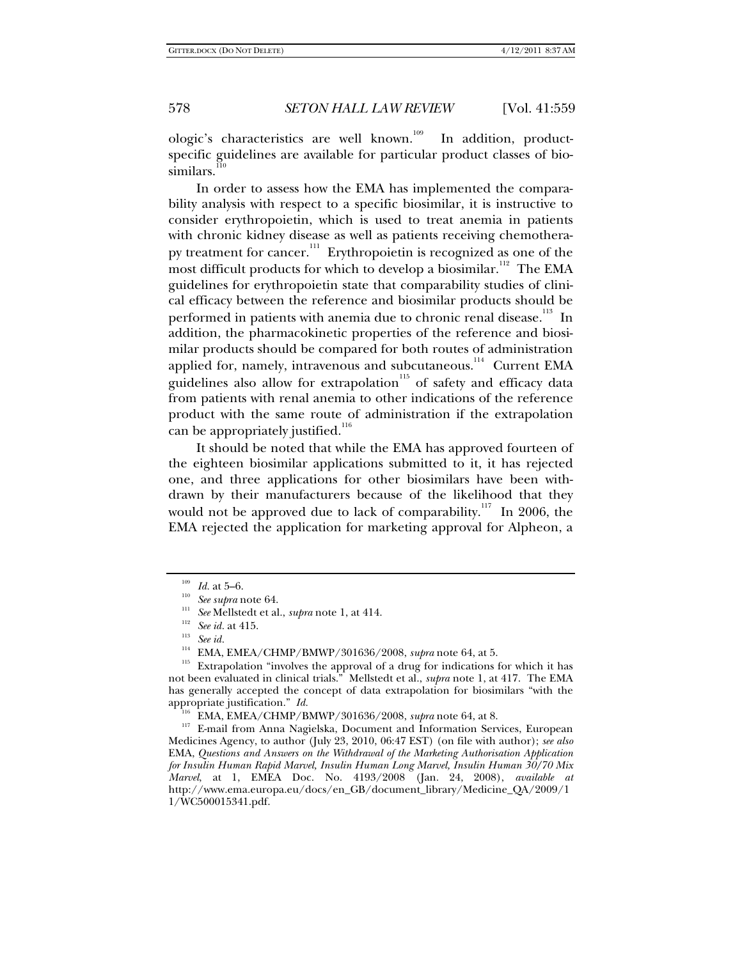ologic's characteristics are well known.<sup>109</sup> In addition, productspecific guidelines are available for particular product classes of biosimilars.<sup>110</sup>

In order to assess how the EMA has implemented the comparability analysis with respect to a specific biosimilar, it is instructive to consider erythropoietin, which is used to treat anemia in patients with chronic kidney disease as well as patients receiving chemotherapy treatment for cancer.<sup>111</sup> Erythropoietin is recognized as one of the most difficult products for which to develop a biosimilar.<sup>112</sup> The EMA guidelines for erythropoietin state that comparability studies of clinical efficacy between the reference and biosimilar products should be performed in patients with anemia due to chronic renal disease.<sup>113</sup> In addition, the pharmacokinetic properties of the reference and biosimilar products should be compared for both routes of administration applied for, namely, intravenous and subcutaneous.<sup>114</sup> Current EMA guidelines also allow for extrapolation<sup>115</sup> of safety and efficacy data from patients with renal anemia to other indications of the reference product with the same route of administration if the extrapolation can be appropriately justified.<sup>116</sup>

It should be noted that while the EMA has approved fourteen of the eighteen biosimilar applications submitted to it, it has rejected one, and three applications for other biosimilars have been withdrawn by their manufacturers because of the likelihood that they would not be approved due to lack of comparability.<sup>117</sup> In 2006, the EMA rejected the application for marketing approval for Alpheon, a

<sup>109</sup> *Id.* at 5–6.<br>
<sup>110</sup> *See supra* note 64.<br>
<sup>111</sup> *See id.* at 415.<br>
<sup>112</sup> *See id.*<br>
<sup>113</sup> *See id.*<br>
<sup>114</sup> EMA, EMEA/CHMP/BMWP/301636/2008, *supra* note 64, at 5.

<sup>&</sup>lt;sup>115</sup> Extrapolation "involves the approval of a drug for indications for which it has not been evaluated in clinical trials." Mellstedt et al., *supra* note 1, at 417. The EMA has generally accepted the concept of data extrapolation for biosimilars "with the

appropriate justification." *Id.* 116 EMA, EMEA/CHMP/BMWP/301636/2008, *supra* note 64, at 8.<br><sup>117</sup> E-mail from Anna Nagielska, Document and Information Services, European Medicines Agency, to author (July 23, 2010, 06:47 EST) (on file with author); *see also* EMA, *Questions and Answers on the Withdrawal of the Marketing Authorisation Application for Insulin Human Rapid Marvel, Insulin Human Long Marvel, Insulin Human 30/70 Mix Marvel*, at 1, EMEA Doc. No. 4193/2008 (Jan. 24, 2008), *available at*  http://www.ema.europa.eu/docs/en\_GB/document\_library/Medicine\_QA/2009/1 1/WC500015341.pdf.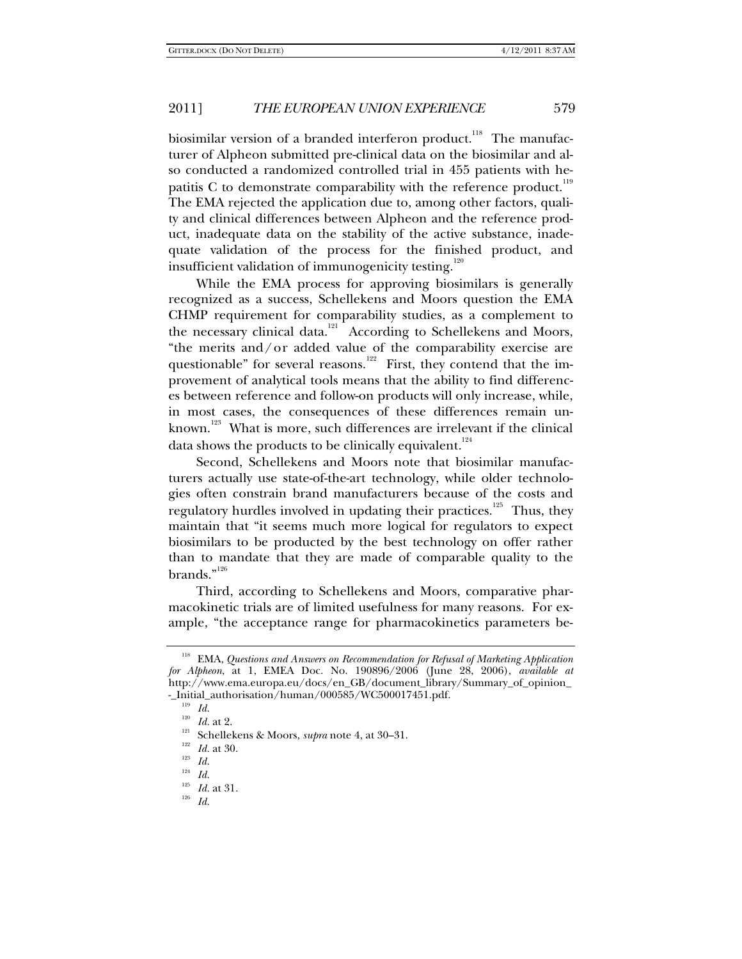biosimilar version of a branded interferon product.<sup>118</sup> The manufacturer of Alpheon submitted pre-clinical data on the biosimilar and also conducted a randomized controlled trial in 455 patients with hepatitis C to demonstrate comparability with the reference product.<sup>119</sup> The EMA rejected the application due to, among other factors, quality and clinical differences between Alpheon and the reference product, inadequate data on the stability of the active substance, inadequate validation of the process for the finished product, and insufficient validation of immunogenicity testing.<sup>120</sup>

While the EMA process for approving biosimilars is generally recognized as a success, Schellekens and Moors question the EMA CHMP requirement for comparability studies, as a complement to the necessary clinical data.<sup>121</sup> According to Schellekens and Moors, "the merits and/or added value of the comparability exercise are questionable" for several reasons.<sup>122</sup> First, they contend that the improvement of analytical tools means that the ability to find differences between reference and follow-on products will only increase, while, in most cases, the consequences of these differences remain unknown.<sup>123</sup> What is more, such differences are irrelevant if the clinical data shows the products to be clinically equivalent.<sup>124</sup>

Second, Schellekens and Moors note that biosimilar manufacturers actually use state-of-the-art technology, while older technologies often constrain brand manufacturers because of the costs and regulatory hurdles involved in updating their practices.<sup>125</sup> Thus, they maintain that "it seems much more logical for regulators to expect biosimilars to be producted by the best technology on offer rather than to mandate that they are made of comparable quality to the brands." $126$ 

Third, according to Schellekens and Moors, comparative pharmacokinetic trials are of limited usefulness for many reasons. For example, "the acceptance range for pharmacokinetics parameters be-

<sup>&</sup>lt;sup>118</sup> EMA, *Questions and Answers on Recommendation for Refusal of Marketing Application for Alpheon*, at 1, EMEA Doc. No. 190896/2006 (June 28, 2006), *available at* http://www.ema.europa.eu/docs/en\_GB/document\_library/Summary\_of\_opinion\_ -\_Initial\_authorisation/human/000585/WC500017451.pdf.<br><sup>119</sup> *Id.* 120<br>*Id.* at 2.

<sup>&</sup>lt;sup>121</sup> Schellekens & Moors, *supra* note 4, at 30–31.<br><sup>122</sup> *Id.* at 30.<br><sup>123</sup> *Id. I* 

 $\frac{124}{125}$  *Id.* 

<sup>125</sup> *Id.* at 31. 126 *Id.*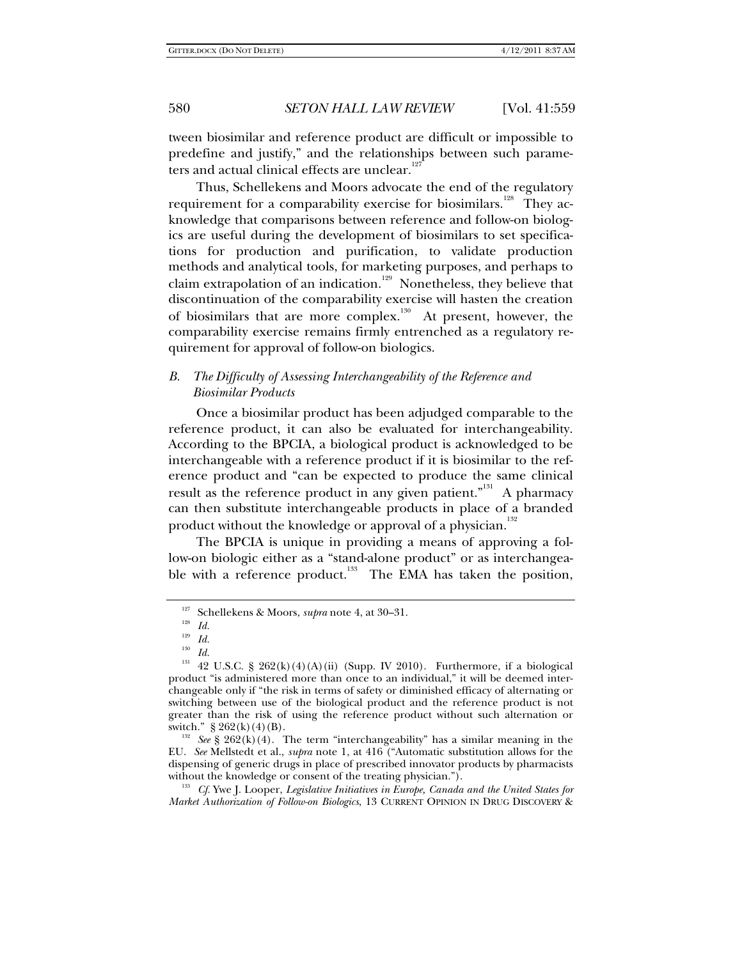tween biosimilar and reference product are difficult or impossible to predefine and justify," and the relationships between such parameters and actual clinical effects are unclear.<sup>12</sup>

Thus, Schellekens and Moors advocate the end of the regulatory requirement for a comparability exercise for biosimilars.<sup>128</sup> They acknowledge that comparisons between reference and follow-on biologics are useful during the development of biosimilars to set specifications for production and purification, to validate production methods and analytical tools, for marketing purposes, and perhaps to claim extrapolation of an indication.<sup>129</sup> Nonetheless, they believe that discontinuation of the comparability exercise will hasten the creation of biosimilars that are more complex.<sup>130</sup> At present, however, the comparability exercise remains firmly entrenched as a regulatory requirement for approval of follow-on biologics.

## *B. The Difficulty of Assessing Interchangeability of the Reference and Biosimilar Products*

Once a biosimilar product has been adjudged comparable to the reference product, it can also be evaluated for interchangeability. According to the BPCIA, a biological product is acknowledged to be interchangeable with a reference product if it is biosimilar to the reference product and "can be expected to produce the same clinical result as the reference product in any given patient."<sup>131</sup> A pharmacy can then substitute interchangeable products in place of a branded product without the knowledge or approval of a physician.<sup>132</sup>

The BPCIA is unique in providing a means of approving a follow-on biologic either as a "stand-alone product" or as interchangeable with a reference product.<sup>133</sup> The EMA has taken the position,

*Market Authorization of Follow-on Biologics*, 13 CURRENT OPINION IN DRUG DISCOVERY &

<sup>127</sup> Schellekens & Moors, *supra* note 4, at 30–31.

 $\frac{128}{129}$  *Id.* 

 $\frac{129}{130}$  *Id.* 

<sup>130</sup> *Id.* 

<sup>&</sup>lt;sup>131</sup> 42 U.S.C. § 262(k)(4)(A)(ii) (Supp. IV 2010). Furthermore, if a biological product "is administered more than once to an individual," it will be deemed interchangeable only if "the risk in terms of safety or diminished efficacy of alternating or switching between use of the biological product and the reference product is not greater than the risk of using the reference product without such alternation or switch."  $\S 262(k)(4)(B)$ .

<sup>&</sup>lt;sup>132</sup> See § 262(k)(4). The term "interchangeability" has a similar meaning in the EU. *See* Mellstedt et al., *supra* note 1, at 416 ("Automatic substitution allows for the dispensing of generic drugs in place of prescribed innovator products by pharmacists without the knowledge or consent of the treating physician.").<br><sup>133</sup> Cf. Ywe J. Looper, *Legislative Initiatives in Europe, Canada and the United States for*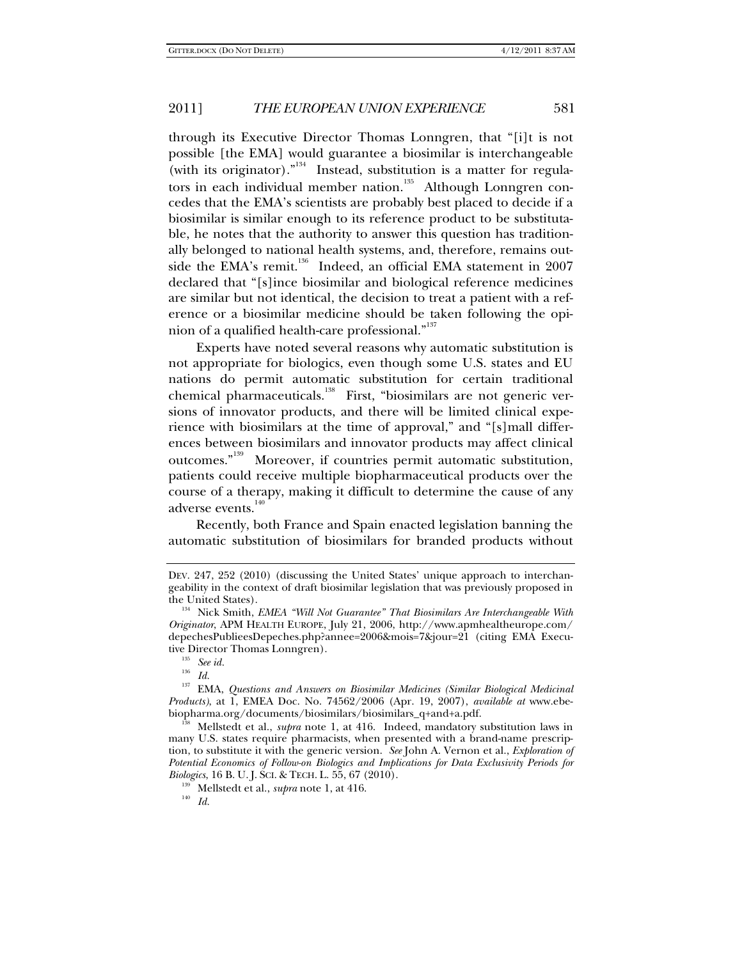through its Executive Director Thomas Lonngren, that "[i]t is not possible [the EMA] would guarantee a biosimilar is interchangeable (with its originator)."<sup>134</sup> Instead, substitution is a matter for regulators in each individual member nation.<sup>135</sup> Although Lonngren concedes that the EMA's scientists are probably best placed to decide if a biosimilar is similar enough to its reference product to be substitutable, he notes that the authority to answer this question has traditionally belonged to national health systems, and, therefore, remains outside the EMA's remit.<sup>136</sup> Indeed, an official EMA statement in 2007 declared that "[s]ince biosimilar and biological reference medicines are similar but not identical, the decision to treat a patient with a reference or a biosimilar medicine should be taken following the opinion of a qualified health-care professional."<sup>137</sup>

Experts have noted several reasons why automatic substitution is not appropriate for biologics, even though some U.S. states and EU nations do permit automatic substitution for certain traditional chemical pharmaceuticals.<sup>138</sup> First, "biosimilars are not generic versions of innovator products, and there will be limited clinical experience with biosimilars at the time of approval," and "[s]mall differences between biosimilars and innovator products may affect clinical outcomes."139 Moreover, if countries permit automatic substitution, patients could receive multiple biopharmaceutical products over the course of a therapy, making it difficult to determine the cause of any adverse events.<sup>140</sup>

Recently, both France and Spain enacted legislation banning the automatic substitution of biosimilars for branded products without

<sup>136</sup> *Id.* 

DEV. 247, 252 (2010) (discussing the United States' unique approach to interchangeability in the context of draft biosimilar legislation that was previously proposed in

the United States). 134 Nick Smith, *EMEA "Will Not Guarantee" That Biosimilars Are Interchangeable With Originator*, APM HEALTH EUROPE, July 21, 2006, http://www.apmhealtheurope.com/ depechesPublieesDepeches.php?annee=2006&mois=7&jour=21 (citing EMA Executive Director Thomas Lonngren).<br><sup>135</sup> See id.<br><sup>136</sup> Li

<sup>&</sup>lt;sup>137</sup> EMA, *Questions and Answers on Biosimilar Medicines (Similar Biological Medicinal Products)*, at 1, EMEA Doc. No. 74562/2006 (Apr. 19, 2007), *available at* www.ebe-

Mellstedt et al., *supra* note 1, at 416. Indeed, mandatory substitution laws in many U.S. states require pharmacists, when presented with a brand-name prescription, to substitute it with the generic version. *See* John A. Vernon et al., *Exploration of Potential Economics of Follow-on Biologics and Implications for Data Exclusivity Periods for Biologics*, 16 B. U. J. SCI. & TECH. L. 55, 67 (2010).<br><sup>139</sup> Mellstedt et al., *supra* note 1, at 416.<br>*Id. Id.*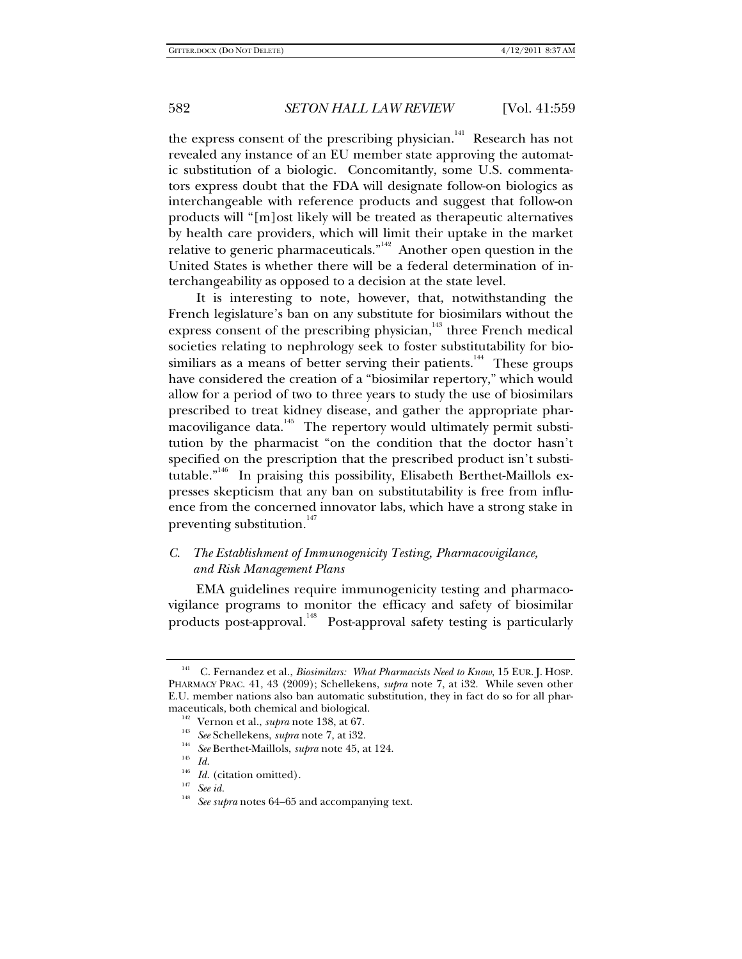the express consent of the prescribing physician.<sup>141</sup> Research has not revealed any instance of an EU member state approving the automatic substitution of a biologic. Concomitantly, some U.S. commentators express doubt that the FDA will designate follow-on biologics as interchangeable with reference products and suggest that follow-on products will "[m]ost likely will be treated as therapeutic alternatives by health care providers, which will limit their uptake in the market relative to generic pharmaceuticals. $\overline{r}^{142}$  Another open question in the United States is whether there will be a federal determination of interchangeability as opposed to a decision at the state level.

It is interesting to note, however, that, notwithstanding the French legislature's ban on any substitute for biosimilars without the express consent of the prescribing physician, $143$  three French medical societies relating to nephrology seek to foster substitutability for biosimiliars as a means of better serving their patients.<sup>144</sup> These groups have considered the creation of a "biosimilar repertory," which would allow for a period of two to three years to study the use of biosimilars prescribed to treat kidney disease, and gather the appropriate pharmacoviligance data.<sup>145</sup> The repertory would ultimately permit substitution by the pharmacist "on the condition that the doctor hasn't specified on the prescription that the prescribed product isn't substitutable.<sup>"146</sup> In praising this possibility, Elisabeth Berthet-Maillols expresses skepticism that any ban on substitutability is free from influence from the concerned innovator labs, which have a strong stake in preventing substitution.<sup>147</sup>

# *C. The Establishment of Immunogenicity Testing, Pharmacovigilance, and Risk Management Plans*

EMA guidelines require immunogenicity testing and pharmacovigilance programs to monitor the efficacy and safety of biosimilar products post-approval.<sup>148</sup> Post-approval safety testing is particularly

<sup>141</sup> C. Fernandez et al., *Biosimilars: What Pharmacists Need to Know*, 15 EUR. J. HOSP. PHARMACY PRAC. 41, 43 (2009); Schellekens, *supra* note 7, at i32. While seven other E.U. member nations also ban automatic substitution, they in fact do so for all pharmaceuticals, both chemical and biological.<br><sup>142</sup> Vernon et al., *supra* note 138, at 67.<br><sup>143</sup> *See* Schellekens, *supra* note 7, at i32.<br><sup>144</sup> *See* Berthet-Maillols, *supra* note 45, at 124.<br>*Id.* 

<sup>&</sup>lt;sup>146</sup> *Id.* (citation omitted).<br><sup>147</sup> *See id.* 

See *supra* notes 64–65 and accompanying text.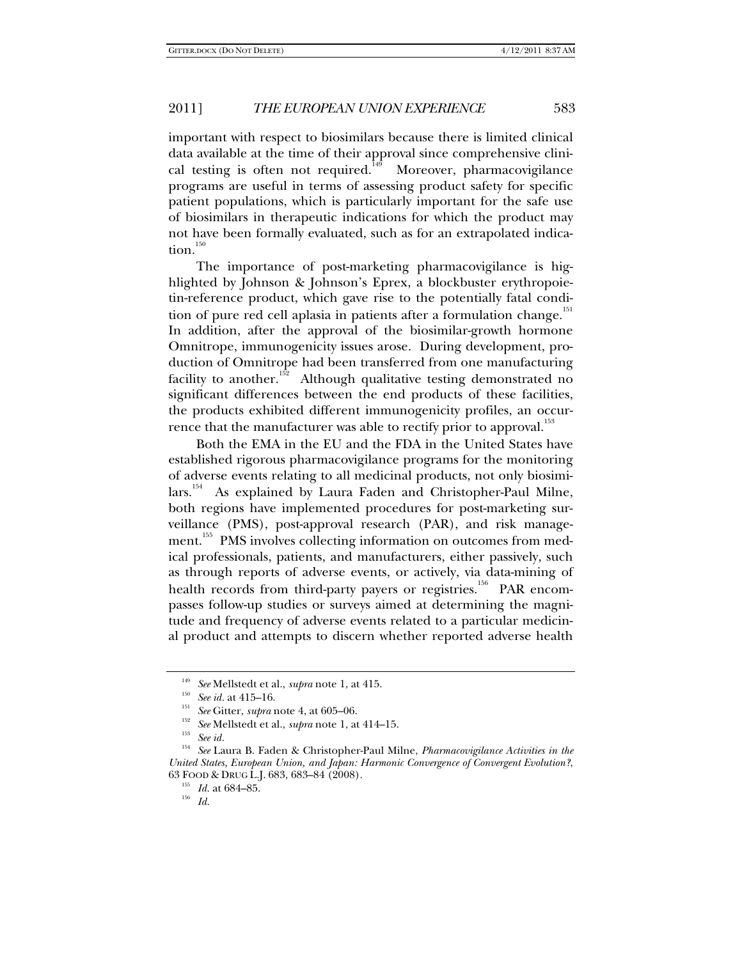important with respect to biosimilars because there is limited clinical data available at the time of their approval since comprehensive clinical testing is often not required.<sup> $149$ </sup> Moreover, pharmacovigilance programs are useful in terms of assessing product safety for specific patient populations, which is particularly important for the safe use of biosimilars in therapeutic indications for which the product may not have been formally evaluated, such as for an extrapolated indication. $150$ 

The importance of post-marketing pharmacovigilance is highlighted by Johnson & Johnson's Eprex, a blockbuster erythropoietin-reference product, which gave rise to the potentially fatal condition of pure red cell aplasia in patients after a formulation change.<sup>151</sup> In addition, after the approval of the biosimilar-growth hormone Omnitrope, immunogenicity issues arose. During development, production of Omnitrope had been transferred from one manufacturing facility to another.<sup>152</sup> Although qualitative testing demonstrated no significant differences between the end products of these facilities, the products exhibited different immunogenicity profiles, an occurrence that the manufacturer was able to rectify prior to approval.<sup>153</sup>

Both the EMA in the EU and the FDA in the United States have established rigorous pharmacovigilance programs for the monitoring of adverse events relating to all medicinal products, not only biosimilars.<sup>154</sup> As explained by Laura Faden and Christopher-Paul Milne, both regions have implemented procedures for post-marketing surveillance (PMS), post-approval research (PAR), and risk management.<sup>155</sup> PMS involves collecting information on outcomes from medical professionals, patients, and manufacturers, either passively, such as through reports of adverse events, or actively, via data-mining of health records from third-party payers or registries.<sup>156</sup> PAR encompasses follow-up studies or surveys aimed at determining the magnitude and frequency of adverse events related to a particular medicinal product and attempts to discern whether reported adverse health

<sup>&</sup>lt;sup>149</sup> *See* Mellstedt et al., *supra* note 1, at 415.<br>
<sup>150</sup> *See id.* at 415–16.<br>
<sup>151</sup> *See* Gitter, *supra* note 4, at 605–06.<br>
<sup>152</sup> *See id.*<br>
<sup>152</sup> *See id.*<br>
<sup>153</sup> *See id.*<br>
<sup>153</sup> *See id.* 

<sup>154</sup> *See* Laura B. Faden & Christopher-Paul Milne, *Pharmacovigilance Activities in the United States, European Union, and Japan: Harmonic Convergence of Convergent Evolution?*, 63 FOOD & DRUG L.J. 683, 683–84 (2008). 155 *Id.* at 684–85. 156 *Id.*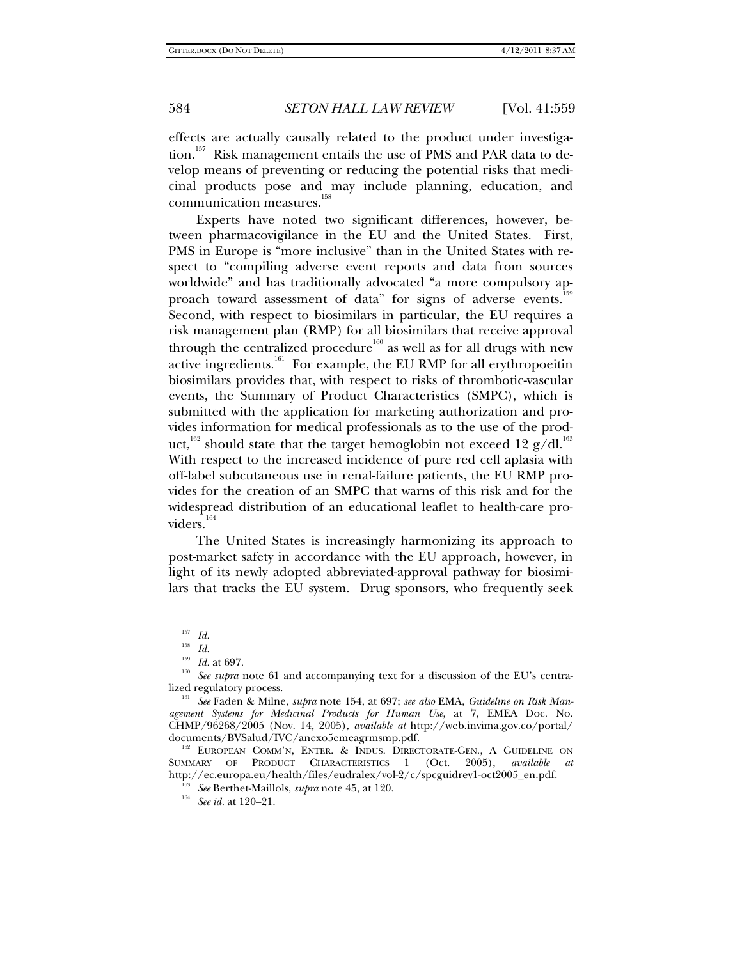effects are actually causally related to the product under investigation.<sup>157</sup> Risk management entails the use of PMS and PAR data to develop means of preventing or reducing the potential risks that medicinal products pose and may include planning, education, and communication measures.<sup>158</sup>

Experts have noted two significant differences, however, between pharmacovigilance in the EU and the United States. First, PMS in Europe is "more inclusive" than in the United States with respect to "compiling adverse event reports and data from sources worldwide" and has traditionally advocated "a more compulsory approach toward assessment of data" for signs of adverse events.<sup>159</sup> Second, with respect to biosimilars in particular, the EU requires a risk management plan (RMP) for all biosimilars that receive approval through the centralized procedure<sup>160</sup> as well as for all drugs with new active ingredients.<sup>161</sup> For example, the EU RMP for all erythropoeitin biosimilars provides that, with respect to risks of thrombotic-vascular events, the Summary of Product Characteristics (SMPC), which is submitted with the application for marketing authorization and provides information for medical professionals as to the use of the product,<sup>162</sup> should state that the target hemoglobin not exceed 12 g/dl.<sup>163</sup> With respect to the increased incidence of pure red cell aplasia with off-label subcutaneous use in renal-failure patients, the EU RMP provides for the creation of an SMPC that warns of this risk and for the widespread distribution of an educational leaflet to health-care providers.<sup>164</sup>

The United States is increasingly harmonizing its approach to post-market safety in accordance with the EU approach, however, in light of its newly adopted abbreviated-approval pathway for biosimilars that tracks the EU system. Drug sponsors, who frequently seek

 $\frac{157}{158}$  *Id.* 

<sup>&</sup>lt;sup>158</sup> *Id.* at 697.<br><sup>159</sup> *Id.* at 697.<br><sup>160</sup> *See supra* note 61 and accompanying text for a discussion of the EU's centra-<br>lized regulatory process.

<sup>&</sup>lt;sup>161</sup> See Faden & Milne, *supra* note 154, at 697; *see also* EMA, *Guideline on Risk Management Systems for Medicinal Products for Human Use*, at 7, EMEA Doc. No. CHMP/96268/2005 (Nov. 14, 2005), *available at* http://web.invima.gov.co/portal/

<sup>&</sup>lt;sup>162</sup> EUROPEAN COMM'N, ENTER. & INDUS. DIRECTORATE-GEN., A GUIDELINE ON SUMMARY OF PRODUCT CHARACTERISTICS 1 (Oct. 2005), *available* http://ec.europa.eu/health/files/eudralex/vol-2/c/spcguidrev1-oct2005\_en.pdf. 163 *See* Berthet-Maillols, *supra* note 45, at 120. 164 *See id.* at 120–21.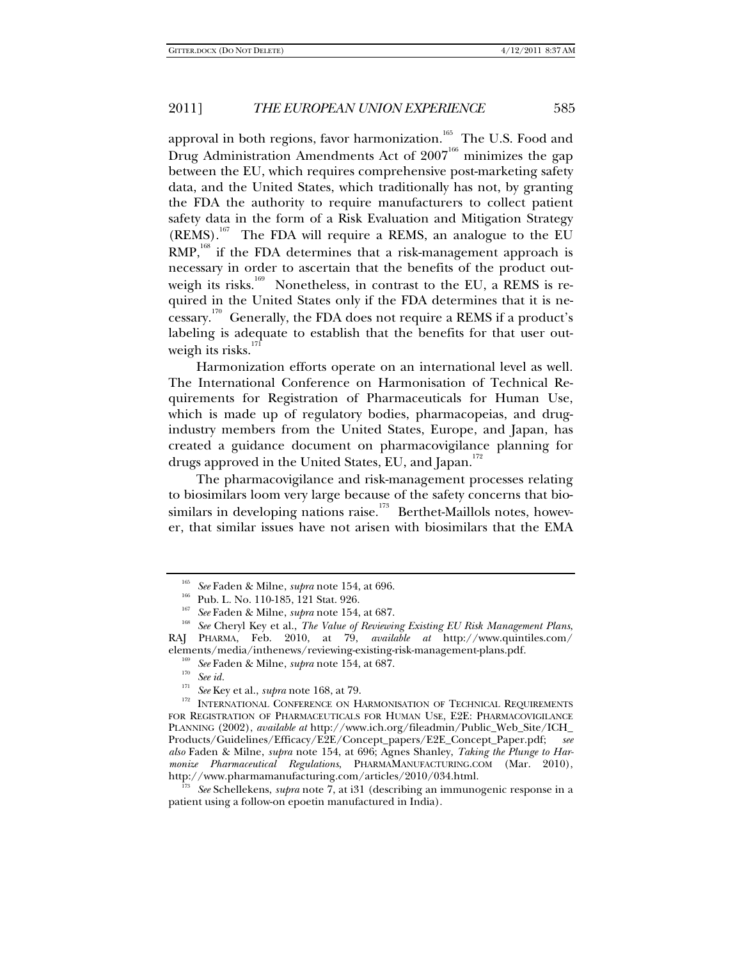approval in both regions, favor harmonization.<sup>165</sup> The U.S. Food and Drug Administration Amendments Act of  $2007<sup>166</sup>$  minimizes the gap between the EU, which requires comprehensive post-marketing safety data, and the United States, which traditionally has not, by granting the FDA the authority to require manufacturers to collect patient safety data in the form of a Risk Evaluation and Mitigation Strategy  $(REMS)$ .<sup>167</sup> The FDA will require a REMS, an analogue to the EU  $RMP<sub>168</sub>$  if the FDA determines that a risk-management approach is necessary in order to ascertain that the benefits of the product outweigh its risks.<sup>169</sup> Nonetheless, in contrast to the EU, a REMS is required in the United States only if the FDA determines that it is necessary.170 Generally, the FDA does not require a REMS if a product's labeling is adequate to establish that the benefits for that user outweigh its risks. $171$ 

Harmonization efforts operate on an international level as well. The International Conference on Harmonisation of Technical Requirements for Registration of Pharmaceuticals for Human Use, which is made up of regulatory bodies, pharmacopeias, and drugindustry members from the United States, Europe, and Japan, has created a guidance document on pharmacovigilance planning for drugs approved in the United States, EU, and Japan.<sup>172</sup>

The pharmacovigilance and risk-management processes relating to biosimilars loom very large because of the safety concerns that biosimilars in developing nations raise.<sup>173</sup> Berthet-Maillols notes, however, that similar issues have not arisen with biosimilars that the EMA

<sup>&</sup>lt;sup>165</sup> See Faden & Milne, *supra* note 154, at 696.<br><sup>166</sup> Pub. L. No. 110-185, 121 Stat. 926.<br><sup>167</sup> See Faden & Milne, *supra* note 154, at 687.<br><sup>168</sup> See Cheryl Key et al., *The Value of Reviewing Existing EU Risk Managem* RAJ PHARMA, Feb. 2010, at 79, *available at* http://www.quintiles.com/ elements/media/inthenews/reviewing-existing-risk-management-plans.pdf.<br><sup>169</sup> See Faden & Milne, *supra* note 154, at 687.<br><sup>170</sup> See id.<br><sup>171</sup> See Key et al., *supra* note 168, at 79.

<sup>&</sup>lt;sup>172</sup> INTERNATIONAL CONFERENCE ON HARMONISATION OF TECHNICAL REQUIREMENTS FOR REGISTRATION OF PHARMACEUTICALS FOR HUMAN USE, E2E: PHARMACOVIGILANCE PLANNING (2002), *available at* http://www.ich.org/fileadmin/Public\_Web\_Site/ICH\_ Products/Guidelines/Efficacy/E2E/Concept\_papers/E2E\_Concept\_Paper.pdf; *also* Faden & Milne, *supra* note 154, at 696; Agnes Shanley, *Taking the Plunge to Harmonize Pharmaceutical Regulations*, PHARMAMANUFACTURING.COM (Mar. 2010), http://www.pharmamanufacturing.com/articles/2010/034.html.

<sup>173</sup> *See* Schellekens, *supra* note 7, at i31 (describing an immunogenic response in a patient using a follow-on epoetin manufactured in India).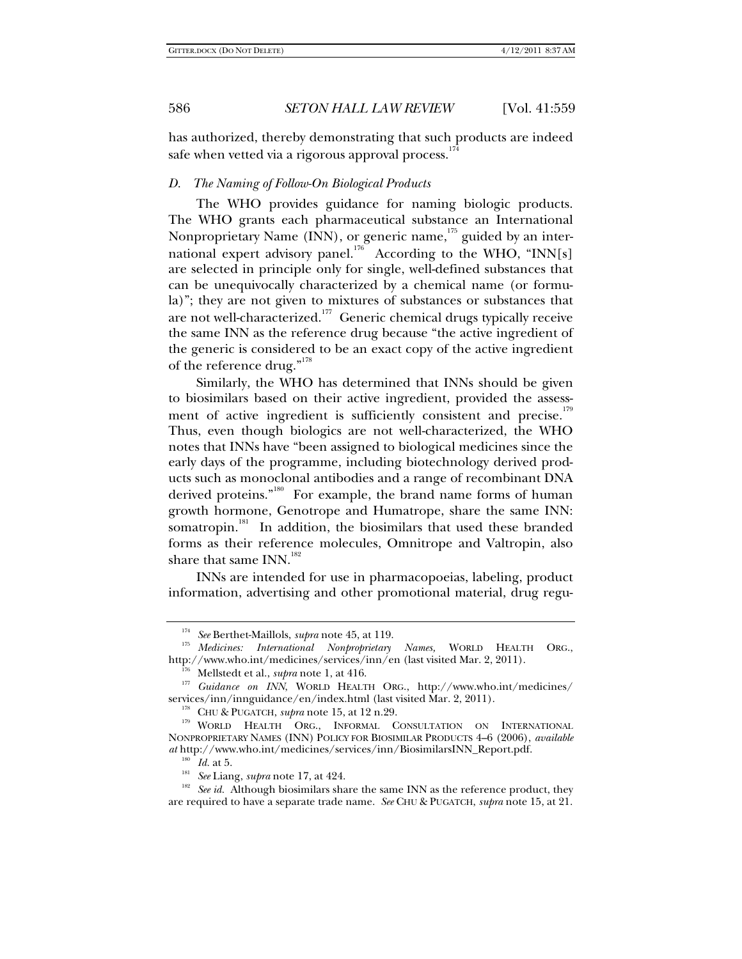has authorized, thereby demonstrating that such products are indeed safe when vetted via a rigorous approval process.<sup>1</sup>

#### *D. The Naming of Follow-On Biological Products*

The WHO provides guidance for naming biologic products. The WHO grants each pharmaceutical substance an International Nonproprietary Name (INN), or generic name, $175$  guided by an international expert advisory panel.<sup>176</sup> According to the WHO, "INN[s] are selected in principle only for single, well-defined substances that can be unequivocally characterized by a chemical name (or formula)"; they are not given to mixtures of substances or substances that are not well-characterized.<sup>177</sup> Generic chemical drugs typically receive the same INN as the reference drug because "the active ingredient of the generic is considered to be an exact copy of the active ingredient of the reference drug."<sup>178</sup>

Similarly, the WHO has determined that INNs should be given to biosimilars based on their active ingredient, provided the assessment of active ingredient is sufficiently consistent and precise.<sup>179</sup> Thus, even though biologics are not well-characterized, the WHO notes that INNs have "been assigned to biological medicines since the early days of the programme, including biotechnology derived products such as monoclonal antibodies and a range of recombinant DNA derived proteins."<sup>180</sup> For example, the brand name forms of human growth hormone, Genotrope and Humatrope, share the same INN: somatropin.<sup>181</sup> In addition, the biosimilars that used these branded forms as their reference molecules, Omnitrope and Valtropin, also share that same  $INN$ <sup>182</sup>

INNs are intended for use in pharmacopoeias, labeling, product information, advertising and other promotional material, drug regu-

<sup>&</sup>lt;sup>174</sup> See Berthet-Maillols, *supra* note 45, at 119.<br><sup>175</sup> Medicines: *International Nonproprietary Names*, WORLD HEALTH ORG.,<br>http://www.who.int/medicines/services/inn/en (last visited Mar. 2, 2011).

<sup>&</sup>lt;sup>176</sup> Mellstedt et al., *supra* note 1, at 416.<br><sup>177</sup> Guidance on INN, WORLD HEALTH ORG., http://www.who.int/medicines/ services/inn/innguidance/en/index.html (last visited Mar. 2, 2011).<br><sup>178</sup> CHU & PUGATCH, *supra* note 15, at 12 n.29.<br><sup>179</sup> WORLD HEALTH ORG., INFORMAL CONSULTATION ON INTERNATIONAL

NONPROPRIETARY NAMES (INN) POLICY FOR BIOSIMILAR PRODUCTS 4–6 (2006), *available at* http://www.who.int/medicines/services/inn/BiosimilarsINN\_Report.pdf.

<sup>&</sup>lt;sup>180</sup> Id. at 5.<br><sup>181</sup> See Liang, *supra* note 17, at 424.<br><sup>182</sup> See id. Although biosimilars share the same INN as the reference product, they are required to have a separate trade name. *See* CHU & PUGATCH, *supra* note 15, at 21.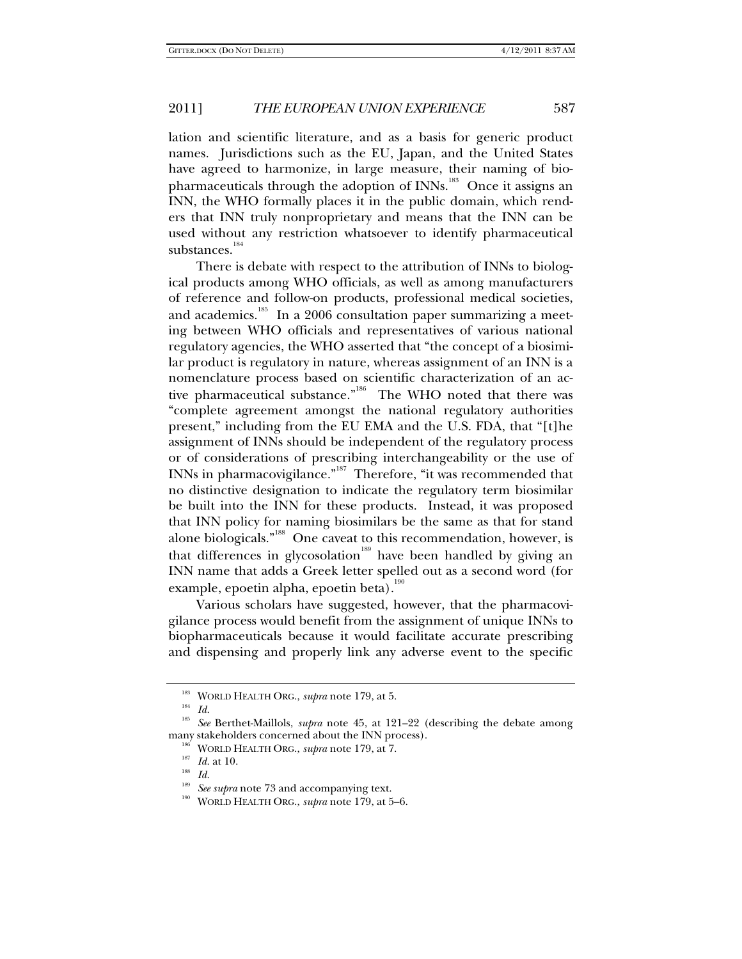lation and scientific literature, and as a basis for generic product names. Jurisdictions such as the EU, Japan, and the United States have agreed to harmonize, in large measure, their naming of biopharmaceuticals through the adoption of INNs.<sup>183</sup> Once it assigns an INN, the WHO formally places it in the public domain, which renders that INN truly nonproprietary and means that the INN can be used without any restriction whatsoever to identify pharmaceutical substances.<sup>184</sup>

There is debate with respect to the attribution of INNs to biological products among WHO officials, as well as among manufacturers of reference and follow-on products, professional medical societies, and academics.<sup>185</sup> In a 2006 consultation paper summarizing a meeting between WHO officials and representatives of various national regulatory agencies, the WHO asserted that "the concept of a biosimilar product is regulatory in nature, whereas assignment of an INN is a nomenclature process based on scientific characterization of an active pharmaceutical substance."<sup>186</sup> The WHO noted that there was "complete agreement amongst the national regulatory authorities present," including from the EU EMA and the U.S. FDA, that "[t]he assignment of INNs should be independent of the regulatory process or of considerations of prescribing interchangeability or the use of INNs in pharmacovigilance."187 Therefore, "it was recommended that no distinctive designation to indicate the regulatory term biosimilar be built into the INN for these products. Instead, it was proposed that INN policy for naming biosimilars be the same as that for stand alone biologicals."<sup>188</sup> One caveat to this recommendation, however, is that differences in glycosolation<sup>189</sup> have been handled by giving an INN name that adds a Greek letter spelled out as a second word (for example, epoetin alpha, epoetin beta).<sup>190</sup>

Various scholars have suggested, however, that the pharmacovigilance process would benefit from the assignment of unique INNs to biopharmaceuticals because it would facilitate accurate prescribing and dispensing and properly link any adverse event to the specific

<sup>&</sup>lt;sup>183</sup> WORLD HEALTH ORG., *supra* note 179, at 5.

<sup>185</sup> *See* Berthet-Maillols, *supra* note 45, at 121–22 (describing the debate among many stakeholders concerned about the INN process).<br><sup>186</sup> WORLD HEALTH ORG., *supra* note 179, at 7.<br><sup>187</sup> *Id.* at 10.<br>*188 Id.* 

<sup>&</sup>lt;sup>189</sup> See supra note 73 and accompanying text.<br><sup>190</sup> WORLD HEALTH ORG., *supra* note 179, at 5–6.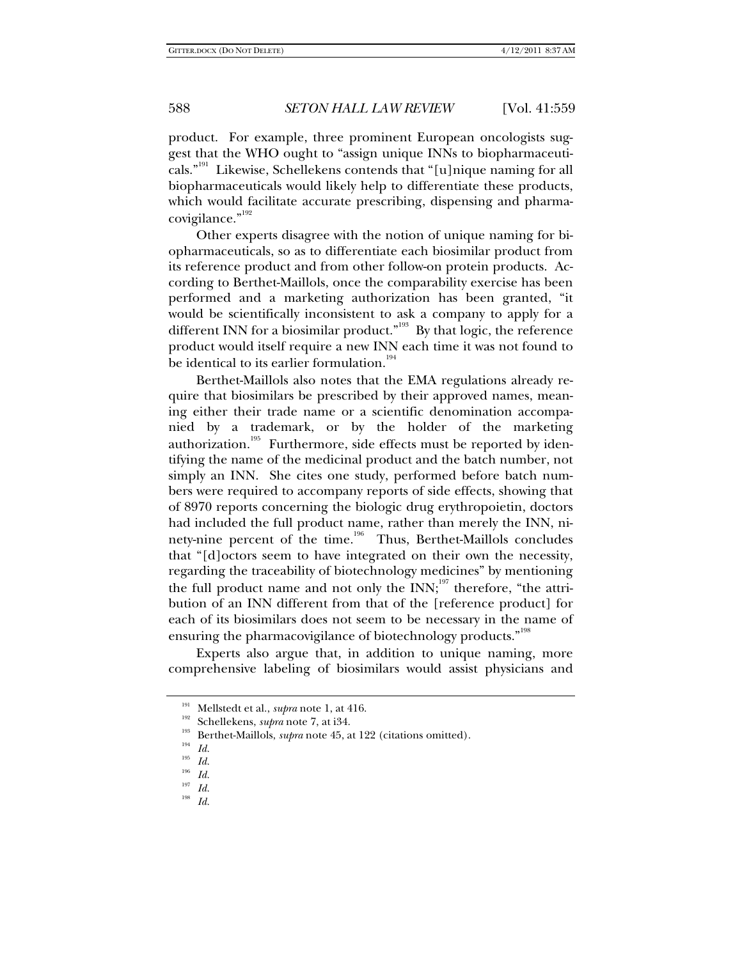product. For example, three prominent European oncologists suggest that the WHO ought to "assign unique INNs to biopharmaceuticals."<sup>191</sup> Likewise, Schellekens contends that "[u]nique naming for all biopharmaceuticals would likely help to differentiate these products, which would facilitate accurate prescribing, dispensing and pharmacovigilance."<sup>192</sup>

Other experts disagree with the notion of unique naming for biopharmaceuticals, so as to differentiate each biosimilar product from its reference product and from other follow-on protein products. According to Berthet-Maillols, once the comparability exercise has been performed and a marketing authorization has been granted, "it would be scientifically inconsistent to ask a company to apply for a different INN for a biosimilar product.<sup>"193</sup> By that logic, the reference product would itself require a new INN each time it was not found to be identical to its earlier formulation.<sup>194</sup>

Berthet-Maillols also notes that the EMA regulations already require that biosimilars be prescribed by their approved names, meaning either their trade name or a scientific denomination accompanied by a trademark, or by the holder of the marketing authorization.<sup>195</sup> Furthermore, side effects must be reported by identifying the name of the medicinal product and the batch number, not simply an INN. She cites one study, performed before batch numbers were required to accompany reports of side effects, showing that of 8970 reports concerning the biologic drug erythropoietin, doctors had included the full product name, rather than merely the INN, ninety-nine percent of the time.<sup>196</sup> Thus, Berthet-Maillols concludes that "[d]octors seem to have integrated on their own the necessity, regarding the traceability of biotechnology medicines" by mentioning the full product name and not only the  $INN$ ;<sup>197</sup> therefore, "the attribution of an INN different from that of the [reference product] for each of its biosimilars does not seem to be necessary in the name of ensuring the pharmacovigilance of biotechnology products."<sup>198</sup>

Experts also argue that, in addition to unique naming, more comprehensive labeling of biosimilars would assist physicians and

<sup>191</sup> Mellstedt et al., *supra* note 1, at 416.

<sup>192</sup> Schellekens, *supra* note 7, at i34. 193 Berthet-Maillols, *supra* note 45, at 122 (citations omitted). 194 *Id.*

 $\frac{195}{196}$  *Id.* 

 $\frac{196}{197}$  *Id.* 

 $\frac{197}{198}$  *Id.* 

<sup>198</sup> *Id.*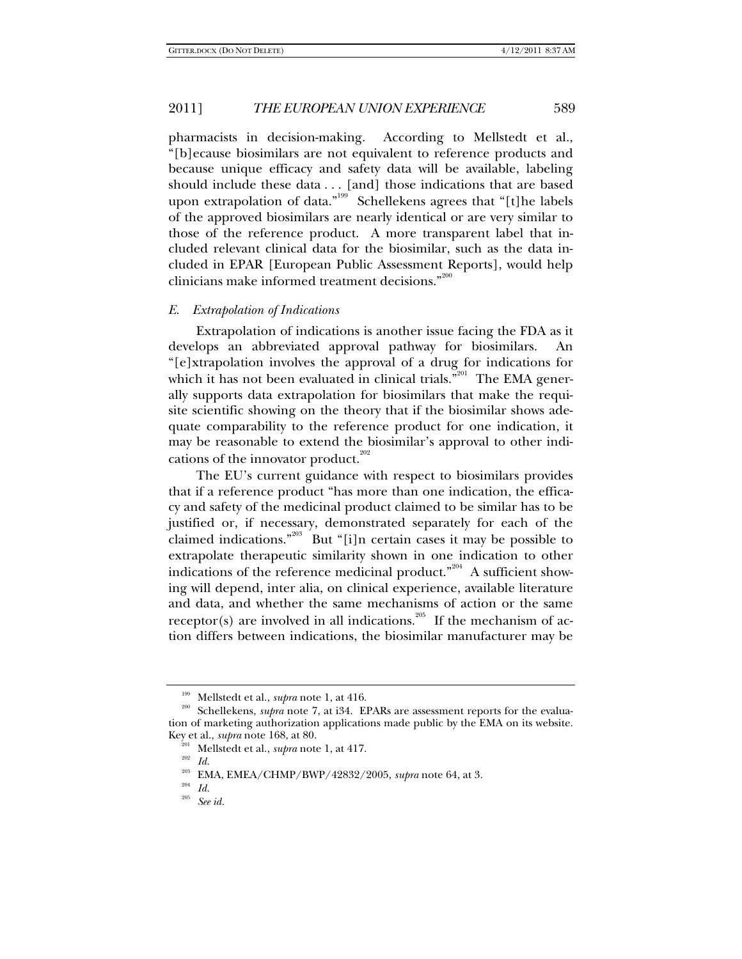pharmacists in decision-making. According to Mellstedt et al., "[b]ecause biosimilars are not equivalent to reference products and because unique efficacy and safety data will be available, labeling should include these data . . . [and] those indications that are based upon extrapolation of data."<sup>199</sup> Schellekens agrees that "[t]he labels of the approved biosimilars are nearly identical or are very similar to those of the reference product. A more transparent label that included relevant clinical data for the biosimilar, such as the data included in EPAR [European Public Assessment Reports], would help clinicians make informed treatment decisions."<sup>200</sup>

#### *E. Extrapolation of Indications*

Extrapolation of indications is another issue facing the FDA as it develops an abbreviated approval pathway for biosimilars. An "[e]xtrapolation involves the approval of a drug for indications for which it has not been evaluated in clinical trials."<sup>201</sup> The EMA generally supports data extrapolation for biosimilars that make the requisite scientific showing on the theory that if the biosimilar shows adequate comparability to the reference product for one indication, it may be reasonable to extend the biosimilar's approval to other indications of the innovator product. $202$ 

The EU's current guidance with respect to biosimilars provides that if a reference product "has more than one indication, the efficacy and safety of the medicinal product claimed to be similar has to be justified or, if necessary, demonstrated separately for each of the claimed indications."<sup>203</sup> But "[i]n certain cases it may be possible to extrapolate therapeutic similarity shown in one indication to other indications of the reference medicinal product."<sup>204</sup> A sufficient showing will depend, inter alia, on clinical experience, available literature and data, and whether the same mechanisms of action or the same receptor(s) are involved in all indications.<sup>205</sup> If the mechanism of action differs between indications, the biosimilar manufacturer may be

<sup>&</sup>lt;sup>199</sup> Mellstedt et al., *supra* note 1, at 416.<br><sup>200</sup> Schellekens, *supra* note 7, at i34. EPARs are assessment reports for the evaluation of marketing authorization applications made public by the EMA on its website.<br>Key et al., *subra* note 168, at 80.

<sup>&</sup>lt;sup>201</sup> Mellstedt et al., *supra* note 1, at 417.<br><sup>202</sup> *Id.* 2014 EMEA (CUMP)(2014)(4008)(

<sup>&</sup>lt;sup>203</sup> EMA, EMEA/CHMP/BWP/42832/2005, *supra* note 64, at 3.<br><sup>204</sup> Id.<br><sup>205</sup> See id.

See *id.*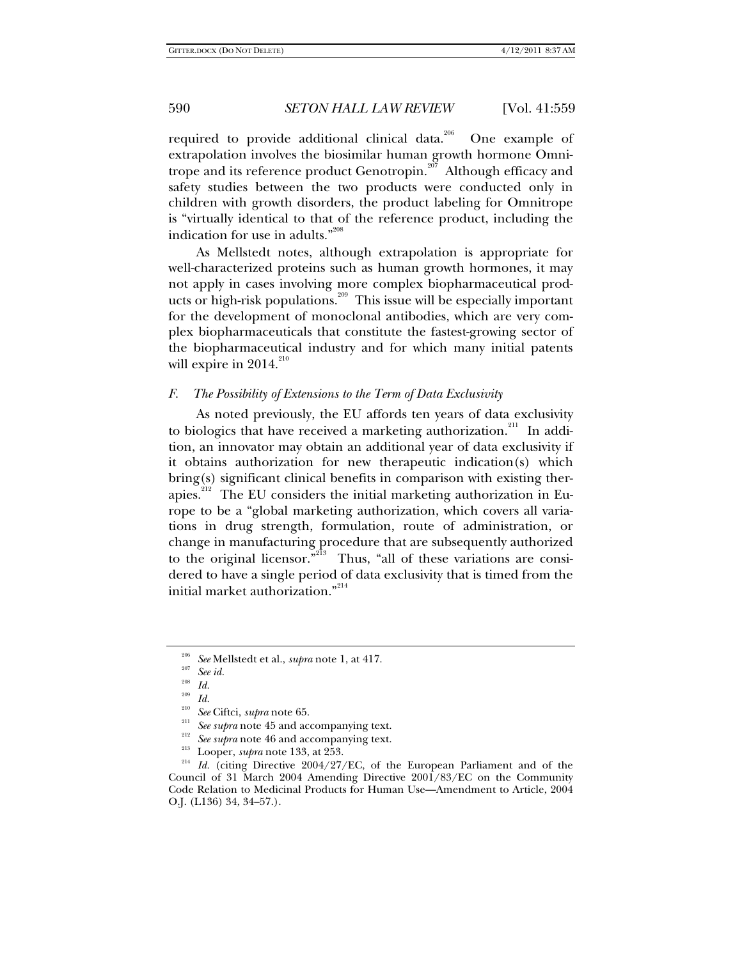required to provide additional clinical data.<sup>206</sup> One example of extrapolation involves the biosimilar human growth hormone Omnitrope and its reference product Genotropin.<sup>207</sup> Although efficacy and safety studies between the two products were conducted only in children with growth disorders, the product labeling for Omnitrope is "virtually identical to that of the reference product, including the indication for use in adults."<sup>208</sup>

As Mellstedt notes, although extrapolation is appropriate for well-characterized proteins such as human growth hormones, it may not apply in cases involving more complex biopharmaceutical products or high-risk populations.<sup>209</sup> This issue will be especially important for the development of monoclonal antibodies, which are very complex biopharmaceuticals that constitute the fastest-growing sector of the biopharmaceutical industry and for which many initial patents will expire in 2014. $^{210}$ 

## *F. The Possibility of Extensions to the Term of Data Exclusivity*

As noted previously, the EU affords ten years of data exclusivity to biologics that have received a marketing authorization.<sup>211</sup> In addition, an innovator may obtain an additional year of data exclusivity if it obtains authorization for new therapeutic indication(s) which bring(s) significant clinical benefits in comparison with existing therapies.212 The EU considers the initial marketing authorization in Europe to be a "global marketing authorization, which covers all variations in drug strength, formulation, route of administration, or change in manufacturing procedure that are subsequently authorized to the original licensor."<sup>213</sup> Thus, "all of these variations are considered to have a single period of data exclusivity that is timed from the initial market authorization."<sup>214</sup>

<sup>206</sup> *See* Mellstedt et al., *supra* note 1, at 417. 207 *See id.*

 $\frac{208}{209}$  *Id.* 

 $\frac{209}{210}$  *Id.* 

<sup>&</sup>lt;sup>210</sup> See Ciftci, *supra* note 65.<br><sup>211</sup> See *supra* note 45 and accompanying text.<br><sup>212</sup> See *supra* note 46 and accompanying text.<br><sup>213</sup> Looper, *supra* note 133, at 253.<br><sup>214</sup> Id. (citing Directive 2004/27/EC, of the E Council of 31 March 2004 Amending Directive 2001/83/EC on the Community Code Relation to Medicinal Products for Human Use—Amendment to Article, 2004 O.J. (L136) 34, 34–57.).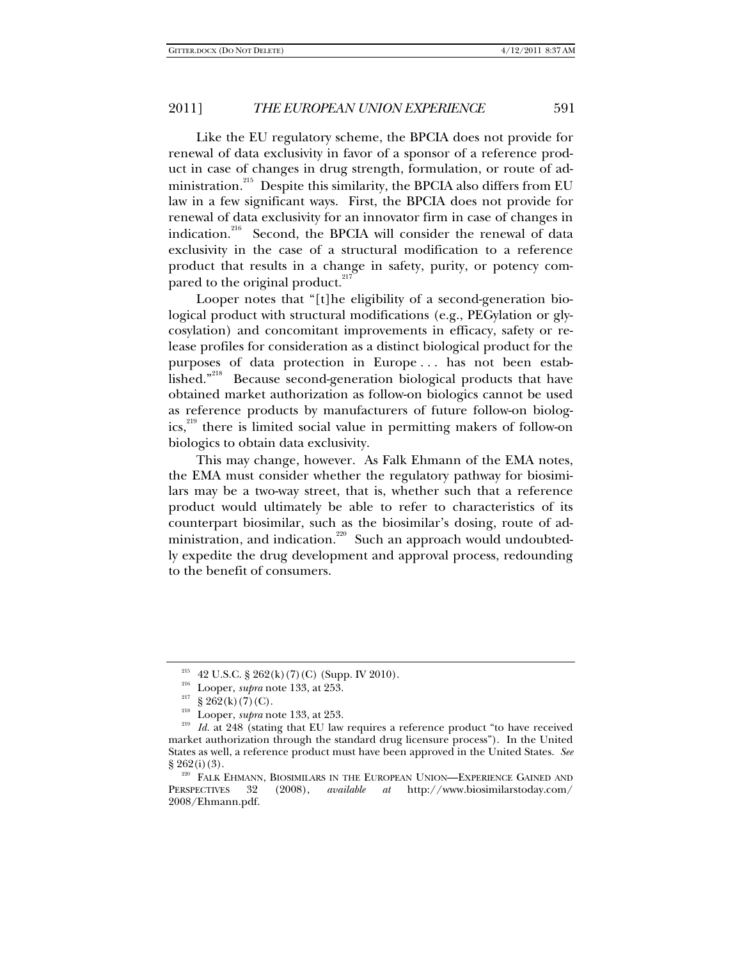Like the EU regulatory scheme, the BPCIA does not provide for renewal of data exclusivity in favor of a sponsor of a reference product in case of changes in drug strength, formulation, or route of administration.<sup>215</sup> Despite this similarity, the BPCIA also differs from EU law in a few significant ways. First, the BPCIA does not provide for renewal of data exclusivity for an innovator firm in case of changes in indication.<sup>216</sup> Second, the BPCIA will consider the renewal of data exclusivity in the case of a structural modification to a reference product that results in a change in safety, purity, or potency compared to the original product.<sup>217</sup>

Looper notes that "[t]he eligibility of a second-generation biological product with structural modifications (e.g., PEGylation or glycosylation) and concomitant improvements in efficacy, safety or release profiles for consideration as a distinct biological product for the purposes of data protection in Europe . . . has not been established."218 Because second-generation biological products that have obtained market authorization as follow-on biologics cannot be used as reference products by manufacturers of future follow-on biologics,<sup>219</sup> there is limited social value in permitting makers of follow-on biologics to obtain data exclusivity.

This may change, however. As Falk Ehmann of the EMA notes, the EMA must consider whether the regulatory pathway for biosimilars may be a two-way street, that is, whether such that a reference product would ultimately be able to refer to characteristics of its counterpart biosimilar, such as the biosimilar's dosing, route of administration, and indication.<sup>220</sup> Such an approach would undoubtedly expedite the drug development and approval process, redounding to the benefit of consumers.

<sup>&</sup>lt;sup>215</sup> 42 U.S.C. § 262(k) (7) (C) (Supp. IV 2010).<br><sup>216</sup> Looper, *supra* note 133, at 253.<br><sup>217</sup> § 262(k) (7) (C).<br><sup>218</sup> Looper, *supra* note 133, at 253.<br>*Id.* at 248 (stating that EU law requires a reference product "to market authorization through the standard drug licensure process"). In the United States as well, a reference product must have been approved in the United States. *See*

 $^{220}$  FALK EHMANN, BIOSIMILARS IN THE EUROPEAN UNION—EXPERIENCE GAINED AND PERSPECTIVES 32 (2008), *available at* http://www.biosimilarstoday.com/ 2008/Ehmann.pdf.